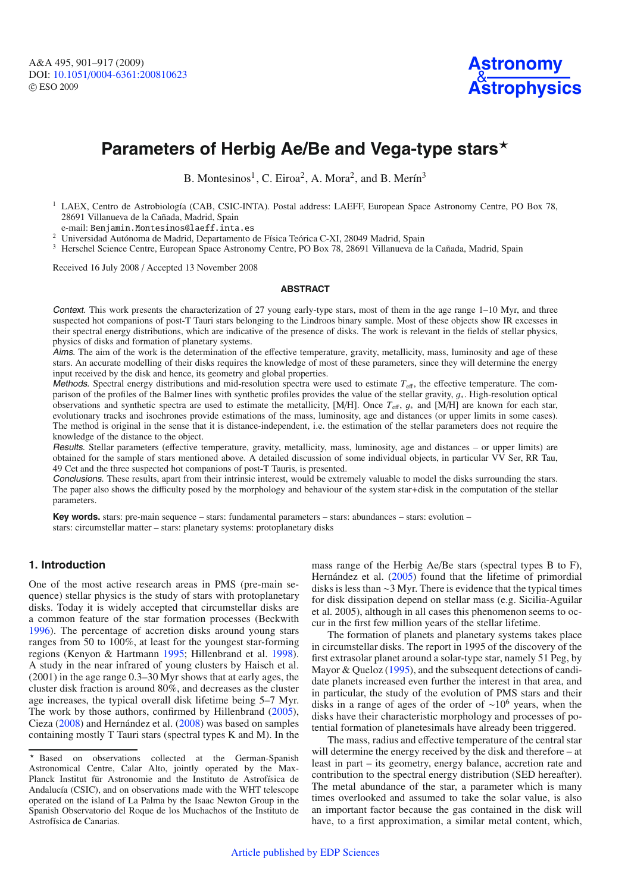# Parameters of Herbig Ae/Be and Vega-type stars<sup>\*</sup>

B. Montesinos<sup>1</sup>, C. Eiroa<sup>2</sup>, A. Mora<sup>2</sup>, and B. Merín<sup>3</sup>

<sup>1</sup> LAEX, Centro de Astrobiología (CAB, CSIC-INTA). Postal address: LAEFF, European Space Astronomy Centre, PO Box 78, 28691 Villanueva de la Cañada, Madrid, Spain

e-mail: Benjamin.Montesinos@laeff.inta.es

<sup>2</sup> Universidad Autónoma de Madrid, Departamento de Física Teórica C-XI, 28049 Madrid, Spain

<sup>3</sup> Herschel Science Centre, European Space Astronomy Centre, PO Box 78, 28691 Villanueva de la Cañada, Madrid, Spain

Received 16 July 2008 / Accepted 13 November 2008

#### **ABSTRACT**

Context. This work presents the characterization of 27 young early-type stars, most of them in the age range 1–10 Myr, and three suspected hot companions of post-T Tauri stars belonging to the Lindroos binary sample. Most of these objects show IR excesses in their spectral energy distributions, which are indicative of the presence of disks. The work is relevant in the fields of stellar physics, physics of disks and formation of planetary systems.

Aims. The aim of the work is the determination of the effective temperature, gravity, metallicity, mass, luminosity and age of these stars. An accurate modelling of their disks requires the knowledge of most of these parameters, since they will determine the energy input received by the disk and hence, its geometry and global properties.

Methods. Spectral energy distributions and mid-resolution spectra were used to estimate  $T_{\text{eff}}$ , the effective temperature. The comparison of the profiles of the Balmer lines with synthetic profiles provides the value of the stellar gravity, <sup>g</sup><sup>∗</sup>. High-resolution optical observations and synthetic spectra are used to estimate the metallicity, [M/H]. Once *<sup>T</sup>*<sup>e</sup>ff, <sup>g</sup><sup>∗</sup> and [M/H] are known for each star, evolutionary tracks and isochrones provide estimations of the mass, luminosity, age and distances (or upper limits in some cases). The method is original in the sense that it is distance-independent, i.e. the estimation of the stellar parameters does not require the knowledge of the distance to the object.

Results. Stellar parameters (effective temperature, gravity, metallicity, mass, luminosity, age and distances – or upper limits) are obtained for the sample of stars mentioned above. A detailed discussion of some individual objects, in particular VV Ser, RR Tau, 49 Cet and the three suspected hot companions of post-T Tauris, is presented.

Conclusions. These results, apart from their intrinsic interest, would be extremely valuable to model the disks surrounding the stars. The paper also shows the difficulty posed by the morphology and behaviour of the system star+disk in the computation of the stellar parameters.

**Key words.** stars: pre-main sequence – stars: fundamental parameters – stars: abundances – stars: evolution – stars: circumstellar matter – stars: planetary systems: protoplanetary disks

# **1. Introduction**

One of the most active research areas in PMS (pre-main sequence) stellar physics is the study of stars with protoplanetary disks. Today it is widely accepted that circumstellar disks are a common feature of the star formation processes (Beckwith [1996\)](#page-16-0). The percentage of accretion disks around young stars ranges from 50 to 100%, at least for the youngest star-forming regions (Kenyon & Hartmann [1995;](#page-16-1) Hillenbrand et al. [1998\)](#page-16-2). A study in the near infrared of young clusters by Haisch et al. (2001) in the age range 0.3–30 Myr shows that at early ages, the cluster disk fraction is around 80%, and decreases as the cluster age increases, the typical overall disk lifetime being 5–7 Myr. The work by those authors, confirmed by Hillenbrand [\(2005\)](#page-16-3), Cieza [\(2008\)](#page-16-4) and Hernández et al. [\(2008\)](#page-16-5) was based on samples containing mostly T Tauri stars (spectral types K and M). In the mass range of the Herbig Ae/Be stars (spectral types B to F), Hernández et al. [\(2005\)](#page-16-6) found that the lifetime of primordial disks is less than ∼3 Myr. There is evidence that the typical times for disk dissipation depend on stellar mass (e.g. Sicilia-Aguilar et al. 2005), although in all cases this phenomenon seems to occur in the first few million years of the stellar lifetime.

The formation of planets and planetary systems takes place in circumstellar disks. The report in 1995 of the discovery of the first extrasolar planet around a solar-type star, namely 51 Peg, by Mayor & Queloz [\(1995\)](#page-16-7), and the subsequent detections of candidate planets increased even further the interest in that area, and in particular, the study of the evolution of PMS stars and their disks in a range of ages of the order of  $\sim 10^6$  years, when the disks have their characteristic morphology and processes of potential formation of planetesimals have already been triggered.

The mass, radius and effective temperature of the central star will determine the energy received by the disk and therefore – at least in part – its geometry, energy balance, accretion rate and contribution to the spectral energy distribution (SED hereafter). The metal abundance of the star, a parameter which is many times overlooked and assumed to take the solar value, is also an important factor because the gas contained in the disk will have, to a first approximation, a similar metal content, which,

Based on observations collected at the German-Spanish Astronomical Centre, Calar Alto, jointly operated by the Max-Planck Institut für Astronomie and the Instituto de Astrofísica de Andalucía (CSIC), and on observations made with the WHT telescope operated on the island of La Palma by the Isaac Newton Group in the Spanish Observatorio del Roque de los Muchachos of the Instituto de Astrofísica de Canarias.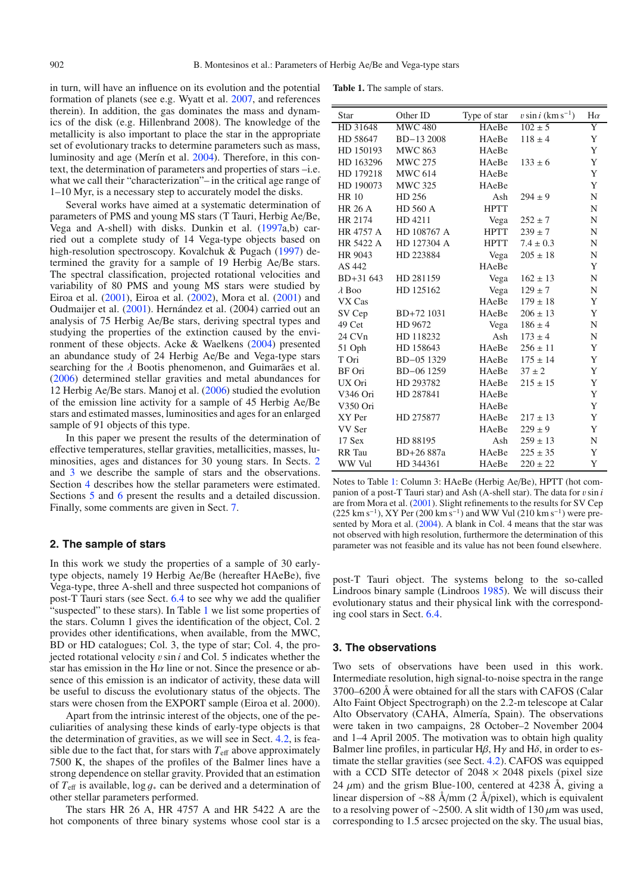in turn, will have an influence on its evolution and the potential formation of planets (see e.g. Wyatt et al. [2007,](#page-16-8) and references therein). In addition, the gas dominates the mass and dynamics of the disk (e.g. Hillenbrand 2008). The knowledge of the metallicity is also important to place the star in the appropriate set of evolutionary tracks to determine parameters such as mass, luminosity and age (Merín et al. [2004\)](#page-16-9). Therefore, in this context, the determination of parameters and properties of stars –i.e. what we call their "characterization"– in the critical age range of 1–10 Myr, is a necessary step to accurately model the disks.

Several works have aimed at a systematic determination of parameters of PMS and young MS stars (T Tauri, Herbig Ae/Be, Vega and A-shell) with disks. Dunkin et al. [\(1997a](#page-16-10),b) carried out a complete study of 14 Vega-type objects based on high-resolution spectroscopy. Kovalchuk & Pugach [\(1997\)](#page-16-11) determined the gravity for a sample of 19 Herbig Ae/Be stars. The spectral classification, projected rotational velocities and variability of 80 PMS and young MS stars were studied by Eiroa et al. [\(2001\)](#page-16-12), Eiroa et al. [\(2002\)](#page-16-13), Mora et al. [\(2001\)](#page-16-14) and Oudmaijer et al. [\(2001\)](#page-16-15). Hernández et al. (2004) carried out an analysis of 75 Herbig Ae/Be stars, deriving spectral types and studying the properties of the extinction caused by the environment of these objects. Acke & Waelkens [\(2004\)](#page-16-16) presented an abundance study of 24 Herbig Ae/Be and Vega-type stars searching for the  $\lambda$  Bootis phenomenon, and Guimarães et al. [\(2006\)](#page-16-17) determined stellar gravities and metal abundances for 12 Herbig Ae/Be stars. Manoj et al. [\(2006\)](#page-16-18) studied the evolution of the emission line activity for a sample of 45 Herbig Ae/Be stars and estimated masses, luminosities and ages for an enlarged sample of 91 objects of this type.

In this paper we present the results of the determination of effective temperatures, stellar gravities, metallicities, masses, luminosities, ages and distances for 30 young stars. In Sects. [2](#page-1-0) and [3](#page-1-1) we describe the sample of stars and the observations. Section [4](#page-2-0) describes how the stellar parameters were estimated. Sections [5](#page-5-0) and [6](#page-6-0) present the results and a detailed discussion. Finally, some comments are given in Sect. [7.](#page-14-0)

# <span id="page-1-0"></span>**2. The sample of stars**

In this work we study the properties of a sample of 30 earlytype objects, namely 19 Herbig Ae/Be (hereafter HAeBe), five Vega-type, three A-shell and three suspected hot companions of post-T Tauri stars (see Sect. [6.4](#page-10-0) to see why we add the qualifier "suspected" to these stars). In Table [1](#page-1-2) we list some properties of the stars. Column 1 gives the identification of the object, Col. 2 provides other identifications, when available, from the MWC, BD or HD catalogues; Col. 3, the type of star; Col. 4, the projected rotational velocity vsin *<sup>i</sup>* and Col. 5 indicates whether the star has emission in the H $\alpha$  line or not. Since the presence or absence of this emission is an indicator of activity, these data will be useful to discuss the evolutionary status of the objects. The stars were chosen from the EXPORT sample (Eiroa et al. 2000).

Apart from the intrinsic interest of the objects, one of the peculiarities of analysing these kinds of early-type objects is that the determination of gravities, as we will see in Sect. [4.2,](#page-3-0) is feasible due to the fact that, for stars with  $T_{\text{eff}}$  above approximately 7500 K, the shapes of the profiles of the Balmer lines have a strong dependence on stellar gravity. Provided that an estimation of  $T_{\text{eff}}$  is available,  $\log g_*$  can be derived and a determination of other stellar parameters performed.

The stars HR 26 A, HR 4757 A and HR 5422 A are the hot components of three binary systems whose cool star is a

<span id="page-1-2"></span>**Table 1.** The sample of stars.

| Star           | Other ID                    | Type of star | $v \sin i$ (km s <sup>-1</sup> ) | $H\alpha$   |
|----------------|-----------------------------|--------------|----------------------------------|-------------|
| HD 31648       | $\overline{\text{MWC 480}}$ | HAeBe        | $102 \pm 5$                      | Y           |
| HD 58647       | BD-13 2008                  | HAeBe        | $118 \pm 4$                      | Y           |
| HD 150193      | <b>MWC 863</b>              | HAeBe        |                                  | Y           |
| HD 163296      | <b>MWC 275</b>              | HAeBe        | $133 \pm 6$                      | Y           |
| HD 179218      | <b>MWC 614</b>              | HAeBe        |                                  | Y           |
| HD 190073      | <b>MWC 325</b>              | HAeBe        |                                  | Y           |
| <b>HR 10</b>   | HD 256                      | Ash          | $294 \pm 9$                      | $\mathbf N$ |
| <b>HR 26 A</b> | <b>HD 560 A</b>             | <b>HPTT</b>  |                                  | N           |
| HR 2174        | HD 4211                     | Vega         | $252 \pm 7$                      | N           |
| HR 4757 A      | HD 108767 A                 | <b>HPTT</b>  | $239 \pm 7$                      | N           |
| HR 5422 A      | HD 127304 A                 | <b>HPTT</b>  | $7.4 \pm 0.3$                    | N           |
| HR 9043        | HD 223884                   | Vega         | $205 \pm 18$                     | N           |
| AS 442         |                             | HAeBe        |                                  | Y           |
| BD+31 643      | HD 281159                   | Vega         | $162 \pm 13$                     | N           |
| $\lambda$ Boo  | HD 125162                   | Vega         | $129 \pm 7$                      | $\mathbf N$ |
| VX Cas         |                             | HAeBe        | $179 \pm 18$                     | Y           |
| SV Cep         | BD+72 1031                  | HAeBe        | $206 \pm 13$                     | Y           |
| 49 Cet         | HD 9672                     | Vega         | $186 \pm 4$                      | N           |
| 24 CVn         | HD 118232                   | Ash          | $173 \pm 4$                      | N           |
| 51 Oph         | HD 158643                   | HAeBe        | $256 \pm 11$                     | Y           |
| T Ori          | BD-05 1329                  | HAeBe        | $175 \pm 14$                     | Y           |
| BF Ori         | BD-06 1259                  | HAeBe        | $37 \pm 2$                       | Y           |
| UX Ori         | HD 293782                   | HAeBe        | $215 \pm 15$                     | Y           |
| V346 Ori       | HD 287841                   | HAeBe        |                                  | Y           |
| V350 Ori       |                             | HAeBe        |                                  | Y           |
| XY Per         | HD 275877                   | HAeBe        | $217 \pm 13$                     | Y           |
| VV Ser         |                             | HAeBe        | $229 \pm 9$                      | Y           |
| 17 Sex         | HD 88195                    | Ash          | $259 \pm 13$                     | N           |
| RR Tau         | BD+26 887a                  | HAeBe        | $225 \pm 35$                     | Y           |
| WW Vul         | HD 344361                   | HAeBe        | $220 \pm 22$                     | Y           |

Notes to Table [1:](#page-1-2) Column 3: HAeBe (Herbig Ae/Be), HPTT (hot companion of a post-T Tauri star) and Ash (A-shell star). The data for vsin *<sup>i</sup>* are from Mora et al. [\(2001\)](#page-16-14). Slight refinements to the results for SV Cep  $(225 \text{ km s}^{-1})$ , XY Per (200 km s<sup>-1</sup>) and WW Vul (210 km s<sup>-1</sup>) were pre-sented by Mora et al. [\(2004\)](#page-16-19). A blank in Col. 4 means that the star was not observed with high resolution, furthermore the determination of this parameter was not feasible and its value has not been found elsewhere.

post-T Tauri object. The systems belong to the so-called Lindroos binary sample (Lindroos [1985\)](#page-16-20). We will discuss their evolutionary status and their physical link with the corresponding cool stars in Sect. [6.4.](#page-10-0)

## <span id="page-1-1"></span>**3. The observations**

Two sets of observations have been used in this work. Intermediate resolution, high signal-to-noise spectra in the range 3700–6200 Å were obtained for all the stars with CAFOS (Calar Alto Faint Object Spectrograph) on the 2.2-m telescope at Calar Alto Observatory (CAHA, Almería, Spain). The observations were taken in two campaigns, 28 October–2 November 2004 and 1–4 April 2005. The motivation was to obtain high quality Balmer line profiles, in particular  $H\beta$ ,  $H\gamma$  and  $H\delta$ , in order to estimate the stellar gravities (see Sect. [4.2\)](#page-3-0). CAFOS was equipped with a CCD SITe detector of  $2048 \times 2048$  pixels (pixel size 24  $\mu$ m) and the grism Blue-100, centered at 4238 Å, giving a linear dispersion of ∼88 Å/mm (2 Å/pixel), which is equivalent to a resolving power of ~2500. A slit width of 130  $μ$ m was used, corresponding to 1.5 arcsec projected on the sky. The usual bias,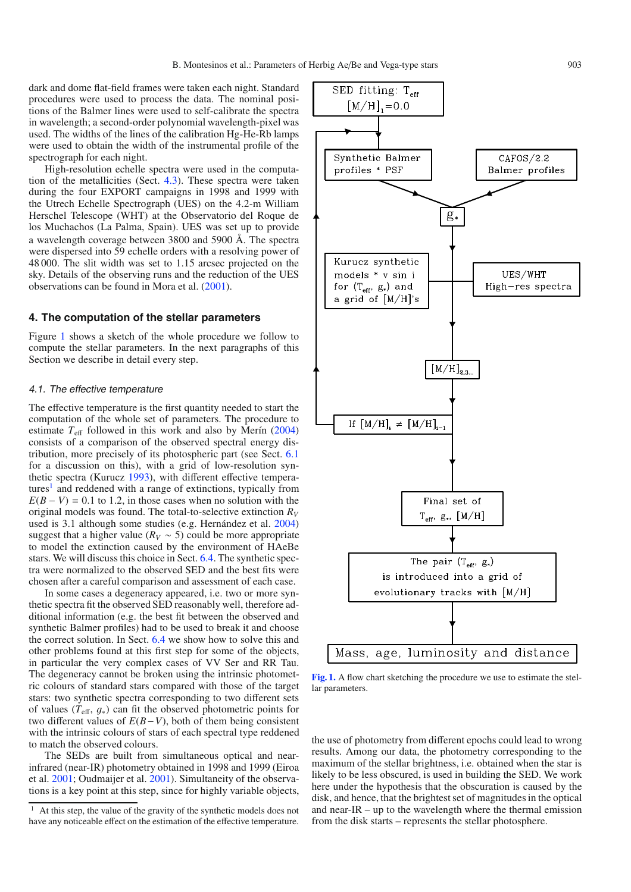SED fitting:  $T_{\text{eff}}$ 

dark and dome flat-field frames were taken each night. Standard procedures were used to process the data. The nominal positions of the Balmer lines were used to self-calibrate the spectra in wavelength; a second-order polynomial wavelength-pixel was used. The widths of the lines of the calibration Hg-He-Rb lamps were used to obtain the width of the instrumental profile of the spectrograph for each night.

High-resolution echelle spectra were used in the computation of the metallicities (Sect. [4.3\)](#page-3-1). These spectra were taken during the four EXPORT campaigns in 1998 and 1999 with the Utrech Echelle Spectrograph (UES) on the 4.2-m William Herschel Telescope (WHT) at the Observatorio del Roque de los Muchachos (La Palma, Spain). UES was set up to provide a wavelength coverage between 3800 and 5900 Å. The spectra were dispersed into 59 echelle orders with a resolving power of 48 000. The slit width was set to 1.15 arcsec projected on the sky. Details of the observing runs and the reduction of the UES observations can be found in Mora et al. [\(2001\)](#page-16-14).

# <span id="page-2-0"></span>**4. The computation of the stellar parameters**

Figure [1](#page-2-1) shows a sketch of the whole procedure we follow to compute the stellar parameters. In the next paragraphs of this Section we describe in detail every step.

#### <span id="page-2-3"></span>4.1. The effective temperature

The effective temperature is the first quantity needed to start the computation of the whole set of parameters. The procedure to estimate  $T_{\text{eff}}$  followed in this work and also by Merín [\(2004\)](#page-16-21) consists of a comparison of the observed spectral energy distribution, more precisely of its photospheric part (see Sect. [6.1](#page-6-1) for a discussion on this), with a grid of low-resolution synthetic spectra (Kurucz [1993\)](#page-16-22), with different effective tempera $tures<sup>1</sup>$  and reddened with a range of extinctions, typically from  $E(B - V) = 0.1$  to 1.2, in those cases when no solution with the original models was found. The total-to-selective extinction *RV* used is 3.1 although some studies (e.g. Hernández et al. [2004\)](#page-16-23) suggest that a higher value ( $R_V \sim 5$ ) could be more appropriate to model the extinction caused by the environment of HAeBe stars. We will discuss this choice in Sect. [6.4.](#page-10-0) The synthetic spectra were normalized to the observed SED and the best fits were chosen after a careful comparison and assessment of each case.

<span id="page-2-2"></span>In some cases a degeneracy appeared, i.e. two or more synthetic spectra fit the observed SED reasonably well, therefore additional information (e.g. the best fit between the observed and synthetic Balmer profiles) had to be used to break it and choose the correct solution. In Sect. [6.4](#page-10-0) we show how to solve this and other problems found at this first step for some of the objects, in particular the very complex cases of VV Ser and RR Tau. The degeneracy cannot be broken using the intrinsic photometric colours of standard stars compared with those of the target stars: two synthetic spectra corresponding to two different sets of values ( $T_{\text{eff}}$ ,  $g_*$ ) can fit the observed photometric points for two different values of *E*(*B*−*V*), both of them being consistent with the intrinsic colours of stars of each spectral type reddened to match the observed colours.

The SEDs are built from simultaneous optical and nearinfrared (near-IR) photometry obtained in 1998 and 1999 (Eiroa et al. [2001;](#page-16-12) Oudmaijer et al. [2001\)](#page-16-15). Simultaneity of the observations is a key point at this step, since for highly variable objects,

 $[M/H]_1 = 0.0$ Synthetic Balmer  $CAFOS/2.2$ profiles \* PSF Balmer profiles  $g_*$ Kurucz synthetic UES/WHT models \* v sin i for  $(T_{eff}, g_*)$  and High-res spectra a grid of  $[M/H]$ 's  $[M/H]_{2,3}$ If  $[M/H]_{i} \neq [M/H]_{i-1}$ Final set of  $T_{\text{eff}}$ ,  $g_{\ast}$ ,  $[M/H]$ The pair  $(T_{eff}, g_*)$ is introduced into a grid of evolutionary tracks with  $[M/H]$ Mass, age, luminosity and distance

<span id="page-2-1"></span>**[Fig. 1.](http://dexter.edpsciences.org/applet.php?DOI=10.1051/0004-6361:200810623&pdf_id=1)** A flow chart sketching the procedure we use to estimate the stellar parameters.

the use of photometry from different epochs could lead to wrong results. Among our data, the photometry corresponding to the maximum of the stellar brightness, i.e. obtained when the star is likely to be less obscured, is used in building the SED. We work here under the hypothesis that the obscuration is caused by the disk, and hence, that the brightest set of magnitudes in the optical and near-IR – up to the wavelength where the thermal emission from the disk starts – represents the stellar photosphere.

<sup>&</sup>lt;sup>1</sup> At this step, the value of the gravity of the synthetic models does not have any noticeable effect on the estimation of the effective temperature.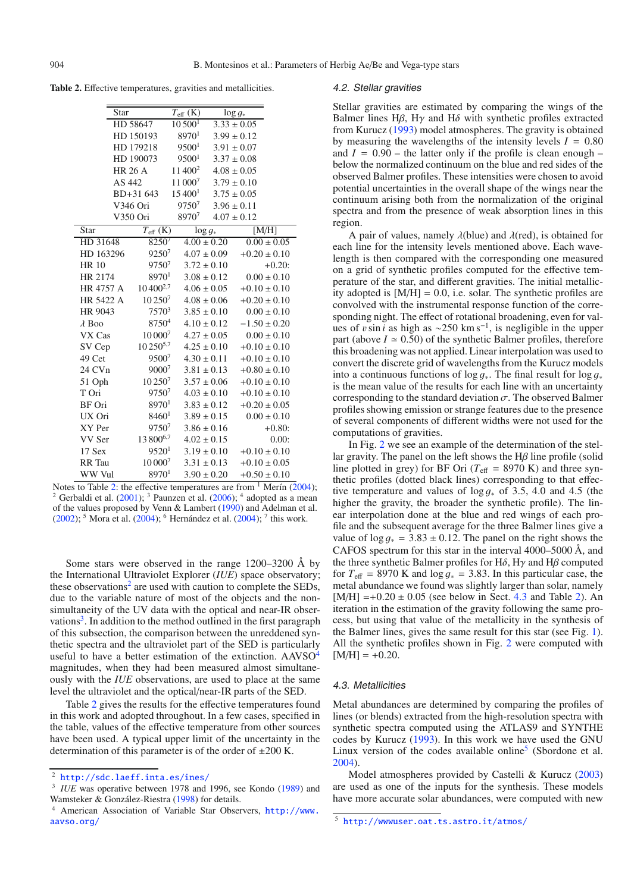<span id="page-3-2"></span>**Table 2.** Effective temperatures, gravities and metallicities.

| Star           |                   | $T_{\rm eff}$ (K)   | $\log g_*$      |                  |
|----------------|-------------------|---------------------|-----------------|------------------|
|                | HD 58647          | $10\,500^1$         | $3.33 \pm 0.05$ |                  |
|                | HD 150193         | 8970 <sup>1</sup>   | $3.99 \pm 0.12$ |                  |
|                | HD 179218         | 9500 <sup>1</sup>   | $3.91 \pm 0.07$ |                  |
|                | HD 190073         | 9500 <sup>1</sup>   | $3.37 \pm 0.08$ |                  |
| <b>HR 26 A</b> |                   | 11 400 <sup>2</sup> | $4.08 \pm 0.05$ |                  |
| AS 442         |                   | 11 0007             | $3.79 \pm 0.10$ |                  |
|                | BD+31 643         | $15\,400^1$         | $3.75 \pm 0.05$ |                  |
|                | V346 Ori          | 97507               | $3.96 \pm 0.11$ |                  |
|                | V350 Ori          | 89707               | $4.07 \pm 0.12$ |                  |
| <b>Star</b>    | $T_{\rm eff}$ (K) | $\log g_*$          |                 | [M/H]            |
| HD 31648       | 82507             | $4.00 \pm 0.20$     |                 | $0.00 \pm 0.05$  |
| HD 163296      | $9250^{7}$        | $4.07 \pm 0.09$     |                 | $+0.20 \pm 0.10$ |
| <b>HR 10</b>   | 97507             | $3.72 \pm 0.10$     |                 | $+0.20:$         |
| HR 2174        | 89701             | $3.08 \pm 0.12$     |                 | $0.00 \pm 0.10$  |
| HR 4757 A      | $10\,400^{2,7}$   | $4.06 \pm 0.05$     |                 | $+0.10 \pm 0.10$ |
| HR 5422 A      | 10 2507           | $4.08 \pm 0.06$     |                 | $+0.20 \pm 0.10$ |
| HR 9043        | 7570 <sup>3</sup> | $3.85 \pm 0.10$     |                 | $0.00 \pm 0.10$  |
| $\lambda$ Boo  | 87504             | $4.10 \pm 0.12$     |                 | $-1.50 \pm 0.20$ |
| VX Cas         | 10 0007           | $4.27 \pm 0.05$     |                 | $0.00 \pm 0.10$  |
| SV Cep         | $10\,250^{5,7}$   | $4.25 \pm 0.10$     |                 | $+0.10 \pm 0.10$ |
| 49 Cet         | 95007             | $4.30 \pm 0.11$     |                 | $+0.10 \pm 0.10$ |
| 24 CVn         | $9000^{7}$        | $3.81 \pm 0.13$     |                 | $+0.80 \pm 0.10$ |
| 51 Oph         | $10\,250^7$       | $3.57 \pm 0.06$     |                 | $+0.10 \pm 0.10$ |
| T Ori          | 97507             | $4.03 \pm 0.10$     |                 | $+0.10 \pm 0.10$ |
| BF Ori         | 89701             | $3.83 \pm 0.12$     |                 | $+0.20 \pm 0.05$ |
| UX Ori         | 8460 <sup>1</sup> | $3.89 \pm 0.15$     |                 | $0.00 \pm 0.10$  |
| XY Per         | 97507             | $3.86 \pm 0.16$     |                 | $+0.80:$         |
| VV Ser         | 13 8006,7         | $4.02 \pm 0.15$     |                 | 0.00:            |
| 17 Sex         | 9520 <sup>1</sup> | $3.19 \pm 0.10$     |                 | $+0.10 \pm 0.10$ |
| <b>RR</b> Tau  | $10000^{7}$       | $3.31 \pm 0.13$     |                 | $+0.10 \pm 0.05$ |
| WW Vul         | $8970^{1}$        | $3.90 \pm 0.20$     |                 | $+0.50 \pm 0.10$ |

Notes to Table 2: the effective temperatures are from  $1$  Merín (2004); <sup>2</sup> Gerbaldi et al.  $(2001)$ ; <sup>3</sup> Paunzen et al.  $(2006)$ ; <sup>4</sup> adopted as a mean of the values proposed by Venn & Lambert [\(1990\)](#page-16-26) and Adelman et al. [\(2002\)](#page-16-27); <sup>5</sup> Mora et al. [\(2004\)](#page-16-23); <sup>6</sup> Hernández et al. (2004); <sup>7</sup> this work.

<span id="page-3-3"></span>Some stars were observed in the range 1200–3200 Å by the International Ultraviolet Explorer (*IUE*) space observatory; these observations<sup>2</sup> are used with caution to complete the SEDs, due to the variable nature of most of the objects and the nonsimultaneity of the UV data with the optical and near-IR observations<sup>3</sup>. In addition to the method outlined in the first paragraph of this subsection, the comparison between the unreddened synthetic spectra and the ultraviolet part of the SED is particularly useful to have a better estimation of the extinction. AAVSO<sup>[4](#page-3-5)</sup> magnitudes, when they had been measured almost simultaneously with the *IUE* observations, are used to place at the same level the ultraviolet and the optical/near-IR parts of the SED.

<span id="page-3-5"></span><span id="page-3-4"></span>Table [2](#page-3-2) gives the results for the effective temperatures found in this work and adopted throughout. In a few cases, specified in the table, values of the effective temperature from other sources have been used. A typical upper limit of the uncertainty in the determination of this parameter is of the order of  $\pm 200$  K.

#### <span id="page-3-0"></span>4.2. Stellar gravities

Stellar gravities are estimated by comparing the wings of the Balmer lines H $\beta$ , H $\gamma$  and H $\delta$  with synthetic profiles extracted from Kurucz [\(1993\)](#page-16-22) model atmospheres. The gravity is obtained by measuring the wavelengths of the intensity levels  $I = 0.80$ and  $I = 0.90$  – the latter only if the profile is clean enough – below the normalized continuum on the blue and red sides of the observed Balmer profiles. These intensities were chosen to avoid potential uncertainties in the overall shape of the wings near the continuum arising both from the normalization of the original spectra and from the presence of weak absorption lines in this region.

A pair of values, namely  $\lambda$ (blue) and  $\lambda$ (red), is obtained for each line for the intensity levels mentioned above. Each wavelength is then compared with the corresponding one measured on a grid of synthetic profiles computed for the effective temperature of the star, and different gravities. The initial metallicity adopted is  $[M/H] = 0.0$ , i.e. solar. The synthetic profiles are convolved with the instrumental response function of the corresponding night. The effect of rotational broadening, even for values of vsin *i* as high as  $\sim$ 250 km s<sup>-1</sup>, is negligible in the upper part (above  $I \approx 0.50$ ) of the synthetic Balmer profiles, therefore this broadening was not applied. Linear interpolation was used to convert the discrete grid of wavelengths from the Kurucz models into a continuous functions of  $\log g_*$ . The final result for  $\log g_*$ is the mean value of the results for each line with an uncertainty corresponding to the standard deviation  $\sigma$ . The observed Balmer profiles showing emission or strange features due to the presence of several components of different widths were not used for the computations of gravities.

In Fig. [2](#page-4-0) we see an example of the determination of the stellar gravity. The panel on the left shows the  $H\beta$  line profile (solid line plotted in grey) for BF Ori ( $T_{\text{eff}}$  = 8970 K) and three synthetic profiles (dotted black lines) corresponding to that effective temperature and values of  $\log g_*$  of 3.5, 4.0 and 4.5 (the higher the gravity, the broader the synthetic profile). The linear interpolation done at the blue and red wings of each profile and the subsequent average for the three Balmer lines give a value of  $\log q_* = 3.83 \pm 0.12$ . The panel on the right shows the CAFOS spectrum for this star in the interval 4000–5000 Å, and the three synthetic Balmer profiles for  $H\delta$ ,  $H\gamma$  and  $H\beta$  computed for  $T_{\text{eff}}$  = 8970 K and  $\log g_*$  = 3.83. In this particular case, the metal abundance we found was slightly larger than solar, namely  $[M/H] = +0.20 \pm 0.05$  (see below in Sect. [4.3](#page-3-1) and Table [2\)](#page-3-2). An iteration in the estimation of the gravity following the same process, but using that value of the metallicity in the synthesis of the Balmer lines, gives the same result for this star (see Fig. [1\)](#page-2-1). All the synthetic profiles shown in Fig. [2](#page-4-0) were computed with  $[M/H] = +0.20.$ 

#### <span id="page-3-6"></span><span id="page-3-1"></span>4.3. Metallicities

Metal abundances are determined by comparing the profiles of lines (or blends) extracted from the high-resolution spectra with synthetic spectra computed using the ATLAS9 and SYNTHE codes by Kurucz [\(1993\)](#page-16-22). In this work we have used the GNU Linux version of the codes available online<sup>[5](#page-3-6)</sup> (Sbordone et al. [2004\)](#page-16-30).

Model atmospheres provided by Castelli & Kurucz [\(2003\)](#page-16-31) are used as one of the inputs for the synthesis. These models have more accurate solar abundances, were computed with new

<sup>2</sup> <http://sdc.laeff.inta.es/ines/>

<sup>&</sup>lt;sup>3</sup> *IUE* was operative between 1978 and 1996, see Kondo [\(1989\)](#page-16-28) and Wamsteker & González-Riestra [\(1998\)](#page-16-29) for details.

<sup>4</sup> American Association of Variable Star Observers, [http://www.](http://www.aavso.org/) [aavso.org/](http://www.aavso.org/)

<sup>5</sup> [http://wwwuser.oat.ts.astro.it/atmos/]( http://wwwuser.oat.ts.astro.it/atmos/)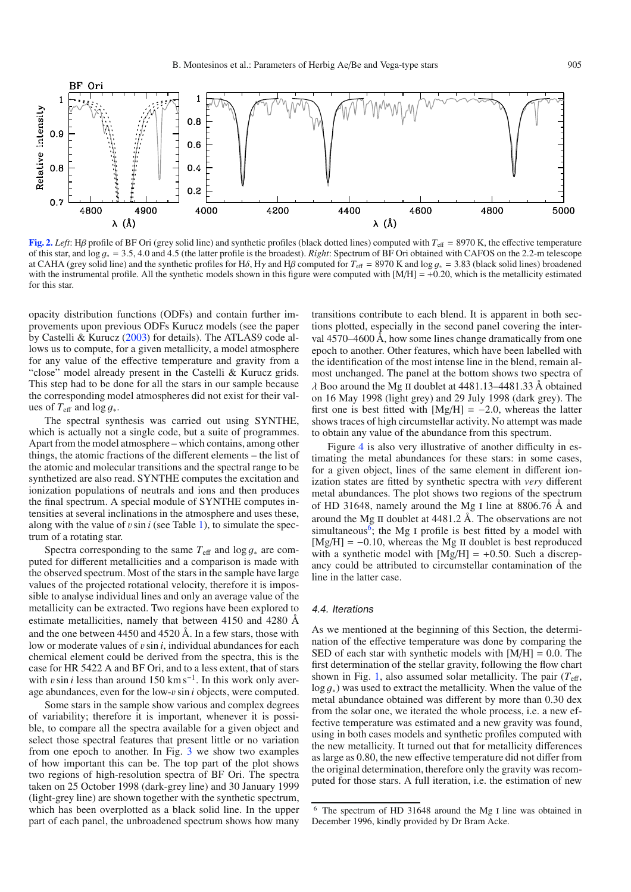<span id="page-4-0"></span>

**[Fig. 2.](http://dexter.edpsciences.org/applet.php?DOI=10.1051/0004-6361:200810623&pdf_id=2)** *Left*: Ηβ profile of BF Ori (grey solid line) and synthetic profiles (black dotted lines) computed with  $T_{\text{eff}} = 8970$  K, the effective temperature of this star, and log <sup>g</sup><sup>∗</sup> <sup>=</sup> <sup>3</sup>.5, 4.0 and 4.5 (the latter profile is the broadest). *Right*: Spectrum of BF Ori obtained with CAFOS on the 2.2-m telescope at CAHA (grey solid line) and the synthetic profiles for H $\delta$ , H<sub>y</sub> and H<sub>β</sub> computed for  $T_{\text{eff}} = 8970$  K and log  $q_* = 3.83$  (black solid lines) broadened with the instrumental profile. All the synthetic models shown in this figure were computed with  $[M/H] = +0.20$ , which is the metallicity estimated for this star.

opacity distribution functions (ODFs) and contain further improvements upon previous ODFs Kurucz models (see the paper by Castelli & Kurucz [\(2003\)](#page-16-31) for details). The ATLAS9 code allows us to compute, for a given metallicity, a model atmosphere for any value of the effective temperature and gravity from a "close" model already present in the Castelli & Kurucz grids. This step had to be done for all the stars in our sample because the corresponding model atmospheres did not exist for their values of  $T_{\text{eff}}$  and  $\log g_*$ .

The spectral synthesis was carried out using SYNTHE, which is actually not a single code, but a suite of programmes. Apart from the model atmosphere – which contains, among other things, the atomic fractions of the different elements – the list of the atomic and molecular transitions and the spectral range to be synthetized are also read. SYNTHE computes the excitation and ionization populations of neutrals and ions and then produces the final spectrum. A special module of SYNTHE computes intensities at several inclinations in the atmosphere and uses these, along with the value of  $v \sin i$  (see Table [1\)](#page-1-2), to simulate the spectrum of a rotating star.

Spectra corresponding to the same  $T_{\text{eff}}$  and  $\log g_*$  are computed for different metallicities and a comparison is made with the observed spectrum. Most of the stars in the sample have large values of the projected rotational velocity, therefore it is impossible to analyse individual lines and only an average value of the metallicity can be extracted. Two regions have been explored to estimate metallicities, namely that between 4150 and 4280 Å and the one between 4450 and 4520 Å. In a few stars, those with low or moderate values of *v* sin *i*, individual abundances for each chemical element could be derived from the spectra, this is the case for HR 5422 A and BF Ori, and to a less extent, that of stars with vsin *i* less than around 150 km s<sup> $-1$ </sup>. In this work only average abundances, even for the low-vsin *<sup>i</sup>* objects, were computed.

Some stars in the sample show various and complex degrees of variability; therefore it is important, whenever it is possible, to compare all the spectra available for a given object and select those spectral features that present little or no variation from one epoch to another. In Fig. [3](#page-5-1) we show two examples of how important this can be. The top part of the plot shows two regions of high-resolution spectra of BF Ori. The spectra taken on 25 October 1998 (dark-grey line) and 30 January 1999 (light-grey line) are shown together with the synthetic spectrum, which has been overplotted as a black solid line. In the upper part of each panel, the unbroadened spectrum shows how many

transitions contribute to each blend. It is apparent in both sections plotted, especially in the second panel covering the interval 4570–4600 Å, how some lines change dramatically from one epoch to another. Other features, which have been labelled with the identification of the most intense line in the blend, remain almost unchanged. The panel at the bottom shows two spectra of  $\lambda$  Boo around the Mg II doublet at 4481.13–4481.33 Å obtained on 16 May 1998 (light grey) and 29 July 1998 (dark grey). The first one is best fitted with  $[Mg/H] = -2.0$ , whereas the latter shows traces of high circumstellar activity. No attempt was made to obtain any value of the abundance from this spectrum.

Figure [4](#page-6-2) is also very illustrative of another difficulty in estimating the metal abundances for these stars: in some cases, for a given object, lines of the same element in different ionization states are fitted by synthetic spectra with *very* different metal abundances. The plot shows two regions of the spectrum of HD 31648, namely around the Mg i line at 8806.76 Å and around the Mg ii doublet at 4481.2 Å. The observations are not simultaneous<sup>6</sup>; the Mg I profile is best fitted by a model with  $[Mg/H] = -0.10$ , whereas the Mg II doublet is best reproduced with a synthetic model with  $[Mg/H] = +0.50$ . Such a discrepancy could be attributed to circumstellar contamination of the line in the latter case.

#### 4.4. Iterations

<span id="page-4-1"></span>As we mentioned at the beginning of this Section, the determination of the effective temperature was done by comparing the SED of each star with synthetic models with  $[M/H] = 0.0$ . The first determination of the stellar gravity, following the flow chart shown in Fig. [1,](#page-2-1) also assumed solar metallicity. The pair  $(T_{\text{eff}})$ , log g<sup>∗</sup>) was used to extract the metallicity. When the value of the metal abundance obtained was different by more than 0.30 dex from the solar one, we iterated the whole process, i.e. a new effective temperature was estimated and a new gravity was found, using in both cases models and synthetic profiles computed with the new metallicity. It turned out that for metallicity differences as large as 0.80, the new effective temperature did not differ from the original determination, therefore only the gravity was recomputed for those stars. A full iteration, i.e. the estimation of new

<sup>&</sup>lt;sup>6</sup> The spectrum of HD 31648 around the Mg I line was obtained in December 1996, kindly provided by Dr Bram Acke.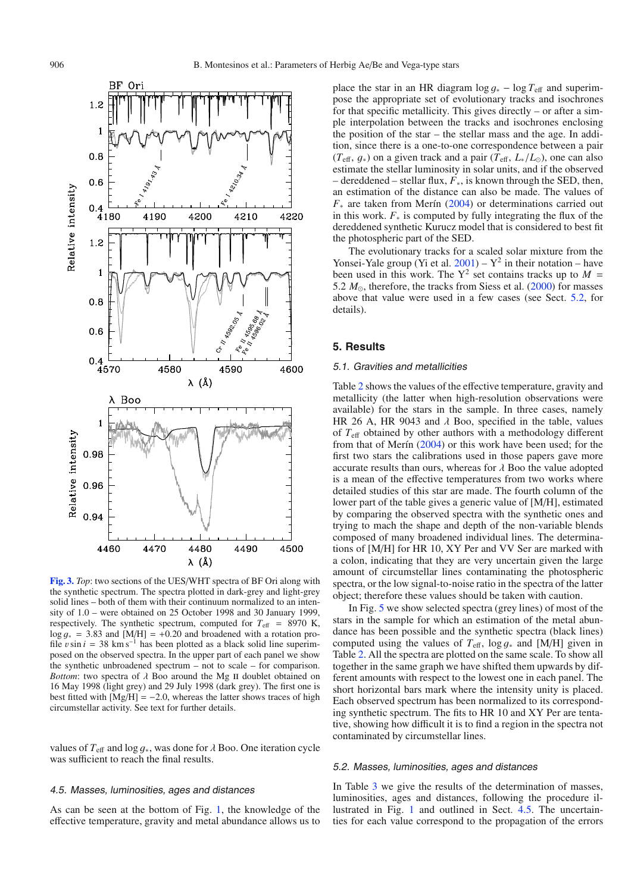

<span id="page-5-1"></span>**[Fig. 3.](http://dexter.edpsciences.org/applet.php?DOI=10.1051/0004-6361:200810623&pdf_id=3)** *Top*: two sections of the UES/WHT spectra of BF Ori along with the synthetic spectrum. The spectra plotted in dark-grey and light-grey solid lines – both of them with their continuum normalized to an intensity of 1.0 – were obtained on 25 October 1998 and 30 January 1999, respectively. The synthetic spectrum, computed for  $T_{\text{eff}}$  = 8970 K,  $\log q_* = 3.83$  and [M/H] = +0.20 and broadened with a rotation profile vsin  $i = 38$  km s<sup>-1</sup> has been plotted as a black solid line superimposed on the observed spectra. In the upper part of each panel we show the synthetic unbroadened spectrum – not to scale – for comparison. *Bottom*: two spectra of  $\lambda$  Boo around the Mg II doublet obtained on 16 May 1998 (light grey) and 29 July 1998 (dark grey). The first one is best fitted with  $[Mg/H] = -2.0$ , whereas the latter shows traces of high circumstellar activity. See text for further details.

values of  $T_{\text{eff}}$  and  $\log g_*$ , was done for  $\lambda$  Boo. One iteration cycle was sufficient to reach the final results.

#### <span id="page-5-3"></span>4.5. Masses, luminosities, ages and distances

As can be seen at the bottom of Fig. [1,](#page-2-1) the knowledge of the effective temperature, gravity and metal abundance allows us to place the star in an HR diagram  $\log g_* - \log T_{\text{eff}}$  and superimpose the appropriate set of evolutionary tracks and isochrones for that specific metallicity. This gives directly – or after a simple interpolation between the tracks and isochrones enclosing the position of the star – the stellar mass and the age. In addition, since there is a one-to-one correspondence between a pair  $(T_{\text{eff}}, q_*)$  on a given track and a pair  $(T_{\text{eff}}, L_*/L_0)$ , one can also estimate the stellar luminosity in solar units, and if the observed – dereddened – stellar flux, *F*∗, is known through the SED, then, an estimation of the distance can also be made. The values of *F*<sup>∗</sup> are taken from Merín [\(2004\)](#page-16-21) or determinations carried out in this work.  $F_*$  is computed by fully integrating the flux of the dereddened synthetic Kurucz model that is considered to best fit the photospheric part of the SED.

The evolutionary tracks for a scaled solar mixture from the Yonsei-Yale group (Yi et al.  $2001$ ) – Y<sup>2</sup> in their notation – have been used in this work. The  $Y^2$  set contains tracks up to  $M =$ 5.2  $M_{\odot}$ , therefore, the tracks from Siess et al. [\(2000\)](#page-16-33) for masses above that value were used in a few cases (see Sect. [5.2,](#page-5-2) for details).

#### <span id="page-5-0"></span>**5. Results**

## 5.1. Gravities and metallicities

Table [2](#page-3-2) shows the values of the effective temperature, gravity and metallicity (the latter when high-resolution observations were available) for the stars in the sample. In three cases, namely HR 26 A, HR 9043 and  $\lambda$  Boo, specified in the table, values of *T*eff obtained by other authors with a methodology different from that of Merín [\(2004\)](#page-16-21) or this work have been used; for the first two stars the calibrations used in those papers gave more accurate results than ours, whereas for  $\lambda$  Boo the value adopted is a mean of the effective temperatures from two works where detailed studies of this star are made. The fourth column of the lower part of the table gives a generic value of [M/H], estimated by comparing the observed spectra with the synthetic ones and trying to mach the shape and depth of the non-variable blends composed of many broadened individual lines. The determinations of [M/H] for HR 10, XY Per and VV Ser are marked with a colon, indicating that they are very uncertain given the large amount of circumstellar lines contaminating the photospheric spectra, or the low signal-to-noise ratio in the spectra of the latter object; therefore these values should be taken with caution.

In Fig. [5](#page-7-0) we show selected spectra (grey lines) of most of the stars in the sample for which an estimation of the metal abundance has been possible and the synthetic spectra (black lines) computed using the values of  $T_{\text{eff}}$ , log  $q_*$  and [M/H] given in Table [2.](#page-3-2) All the spectra are plotted on the same scale. To show all together in the same graph we have shifted them upwards by different amounts with respect to the lowest one in each panel. The short horizontal bars mark where the intensity unity is placed. Each observed spectrum has been normalized to its corresponding synthetic spectrum. The fits to HR 10 and XY Per are tentative, showing how difficult it is to find a region in the spectra not contaminated by circumstellar lines.

#### <span id="page-5-2"></span>5.2. Masses, luminosities, ages and distances

In Table [3](#page-8-0) we give the results of the determination of masses, luminosities, ages and distances, following the procedure illustrated in Fig. [1](#page-2-1) and outlined in Sect. [4.5.](#page-5-3) The uncertainties for each value correspond to the propagation of the errors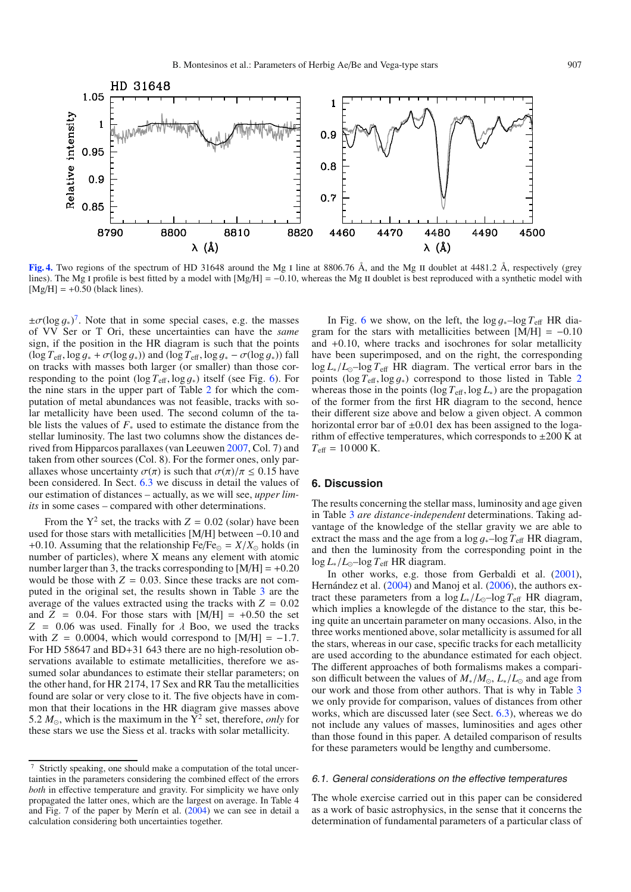<span id="page-6-2"></span>

**[Fig. 4.](http://dexter.edpsciences.org/applet.php?DOI=10.1051/0004-6361:200810623&pdf_id=4)** Two regions of the spectrum of HD 31648 around the Mg I line at 8806.76 Å, and the Mg II doublet at 4481.2 Å, respectively (grey lines). The Mg I profile is best fitted by a model with  $[Mg/H] = -0.10$ , whereas the Mg II doublet is best reproduced with a synthetic model with  $[Mg/H] = +0.50$  (black lines).

 $\pm \sigma (\log g_*)^7$  $\pm \sigma (\log g_*)^7$ . Note that in some special cases, e.g. the masses of VV Ser or T Ori these uncertainties can have the same of VV Ser or T Ori, these uncertainties can have the *same* sign, if the position in the HR diagram is such that the points  $(\log T_{\text{eff}}, \log g_* + \sigma(\log g_*) )$  and  $(\log T_{\text{eff}}, \log g_* - \sigma(\log g_* ) )$  fall on tracks with masses both larger (or smaller) than those corresponding to the point (log  $T_{\text{eff}}$ , log  $g_*$ ) itself (see Fig. [6\)](#page-9-0). For the nine stars in the upper part of Table [2](#page-3-2) for which the computation of metal abundances was not feasible, tracks with solar metallicity have been used. The second column of the table lists the values of *F*<sup>∗</sup> used to estimate the distance from the stellar luminosity. The last two columns show the distances derived from Hipparcos parallaxes (van Leeuwen [2007,](#page-16-34) Col. 7) and taken from other sources (Col. 8). For the former ones, only parallaxes whose uncertainty  $\sigma(\pi)$  is such that  $\sigma(\pi)/\pi \leq 0.15$  have been considered. In Sect. [6.3](#page-9-1) we discuss in detail the values of our estimation of distances – actually, as we will see, *upper limits* in some cases – compared with other determinations.

<span id="page-6-3"></span>From the  $Y^2$  set, the tracks with  $Z = 0.02$  (solar) have been used for those stars with metallicities [M/H] between <sup>−</sup>0.10 and +0.10. Assuming that the relationship Fe/Fe $_{\odot}$  =  $X/X_{\odot}$  holds (in number of particles), where X means any element with atomic number larger than 3, the tracks corresponding to  $[M/H] = +0.20$ would be those with  $Z = 0.03$ . Since these tracks are not computed in the original set, the results shown in Table [3](#page-8-0) are the average of the values extracted using the tracks with  $Z = 0.02$ and  $Z = 0.04$ . For those stars with  $[M/H] = +0.50$  the set  $Z = 0.06$  was used. Finally for  $\lambda$  Boo, we used the tracks with  $Z = 0.0004$ , which would correspond to [M/H] = -1.7. For HD 58647 and BD+31 643 there are no high-resolution observations available to estimate metallicities, therefore we assumed solar abundances to estimate their stellar parameters; on the other hand, for HR 2174, 17 Sex and RR Tau the metallicities found are solar or very close to it. The five objects have in common that their locations in the HR diagram give masses above 5.2  $M_{\odot}$ , which is the maximum in the  $\overline{Y}^2$  set, therefore, *only* for these stars we use the Siess et al. tracks with solar metallicity.

In Fig. [6](#page-9-0) we show, on the left, the  $\log g_* - \log T_{\text{eff}}$  HR diagram for the stars with metallicities between  $[M/H] = -0.10$ and <sup>+</sup>0.10, where tracks and isochrones for solar metallicity have been superimposed, and on the right, the corresponding  $\log L_* / L_{\odot}$ – $\log T_{\text{eff}}$  HR diagram. The vertical error bars in the points (log *<sup>T</sup>*eff, log g<sup>∗</sup>) correspond to those listed in Table [2](#page-3-2) whereas those in the points ( $\log T_{\text{eff}}$ ,  $\log L_*$ ) are the propagation of the former from the first HR diagram to the second, hence their different size above and below a given object. A common horizontal error bar of  $\pm 0.01$  dex has been assigned to the logarithm of effective temperatures, which corresponds to  $\pm 200$  K at  $T_{\text{eff}} = 10000 \text{ K}.$ 

#### <span id="page-6-0"></span>**6. Discussion**

The results concerning the stellar mass, luminosity and age given in Table [3](#page-8-0) *are distance-independent* determinations. Taking advantage of the knowledge of the stellar gravity we are able to extract the mass and the age from a  $\log g_* - \log T_{\text{eff}}$  HR diagram, and then the luminosity from the corresponding point in the log *<sup>L</sup>*∗/*L*–log *<sup>T</sup>*eff HR diagram.

In other works, e.g. those from Gerbaldi et al. [\(2001\)](#page-16-24), Hernández et al. [\(2004\)](#page-16-23) and Manoj et al. [\(2006\)](#page-16-18), the authors extract these parameters from a  $\log L_* / L_{\odot}$ –log  $T_{\text{eff}}$  HR diagram, which implies a knowlegde of the distance to the star, this being quite an uncertain parameter on many occasions. Also, in the three works mentioned above, solar metallicity is assumed for all the stars, whereas in our case, specific tracks for each metallicity are used according to the abundance estimated for each object. The different approaches of both formalisms makes a comparison difficult between the values of  $M_*/M_{\odot}$ ,  $L_*/L_{\odot}$  and age from our work and those from other authors. That is why in Table [3](#page-8-0) we only provide for comparison, values of distances from other works, which are discussed later (see Sect. [6.3\)](#page-9-1), whereas we do not include any values of masses, luminosities and ages other than those found in this paper. A detailed comparison of results for these parameters would be lengthy and cumbersome.

## <span id="page-6-1"></span>6.1. General considerations on the effective temperatures

The whole exercise carried out in this paper can be considered as a work of basic astrophysics, in the sense that it concerns the determination of fundamental parameters of a particular class of

<sup>7</sup> Strictly speaking, one should make a computation of the total uncertainties in the parameters considering the combined effect of the errors *both* in effective temperature and gravity. For simplicity we have only propagated the latter ones, which are the largest on average. In Table 4 and Fig. 7 of the paper by Merín et al. [\(2004\)](#page-16-9) we can see in detail a calculation considering both uncertainties together.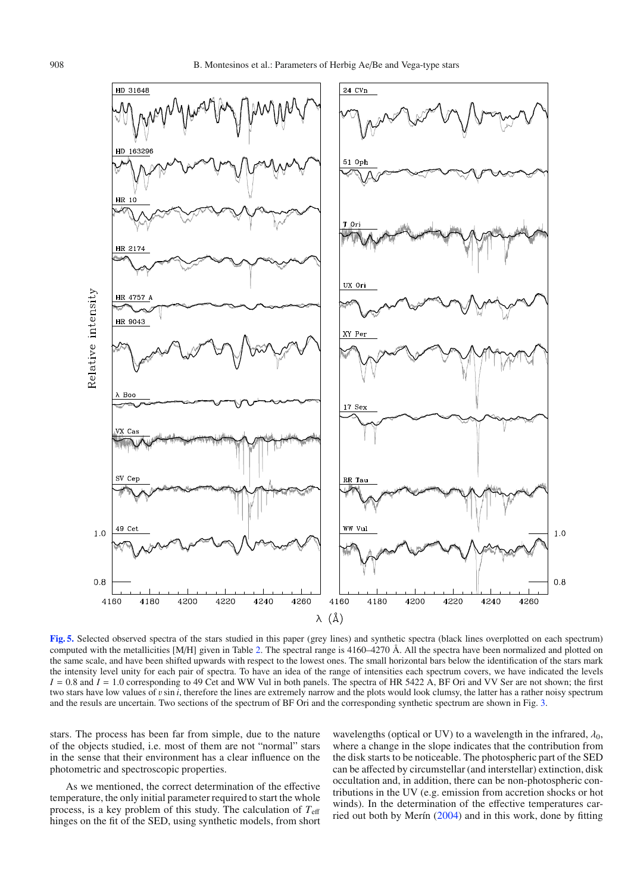

<span id="page-7-0"></span>**[Fig. 5.](http://dexter.edpsciences.org/applet.php?DOI=10.1051/0004-6361:200810623&pdf_id=5)** Selected observed spectra of the stars studied in this paper (grey lines) and synthetic spectra (black lines overplotted on each spectrum) computed with the metallicities [M/H] given in Table [2.](#page-3-2) The spectral range is 4160–4270 Å. All the spectra have been normalized and plotted on the same scale, and have been shifted upwards with respect to the lowest ones. The small horizontal bars below the identification of the stars mark the intensity level unity for each pair of spectra. To have an idea of the range of intensities each spectrum covers, we have indicated the levels  $I = 0.8$  and  $I = 1.0$  corresponding to 49 Cet and WW Vul in both panels. The spectra of HR 5422 A, BF Ori and VV Ser are not shown; the first two stars have low values of vsin *<sup>i</sup>*, therefore the lines are extremely narrow and the plots would look clumsy, the latter has a rather noisy spectrum and the resuls are uncertain. Two sections of the spectrum of BF Ori and the corresponding synthetic spectrum are shown in Fig. [3.](#page-5-1)

stars. The process has been far from simple, due to the nature of the objects studied, i.e. most of them are not "normal" stars in the sense that their environment has a clear influence on the photometric and spectroscopic properties.

As we mentioned, the correct determination of the effective temperature, the only initial parameter required to start the whole process, is a key problem of this study. The calculation of *T*<sup>e</sup>ff hinges on the fit of the SED, using synthetic models, from short wavelengths (optical or UV) to a wavelength in the infrared,  $\lambda_0$ , where a change in the slope indicates that the contribution from the disk starts to be noticeable. The photospheric part of the SED can be affected by circumstellar (and interstellar) extinction, disk occultation and, in addition, there can be non-photospheric contributions in the UV (e.g. emission from accretion shocks or hot winds). In the determination of the effective temperatures carried out both by Merín [\(2004\)](#page-16-21) and in this work, done by fitting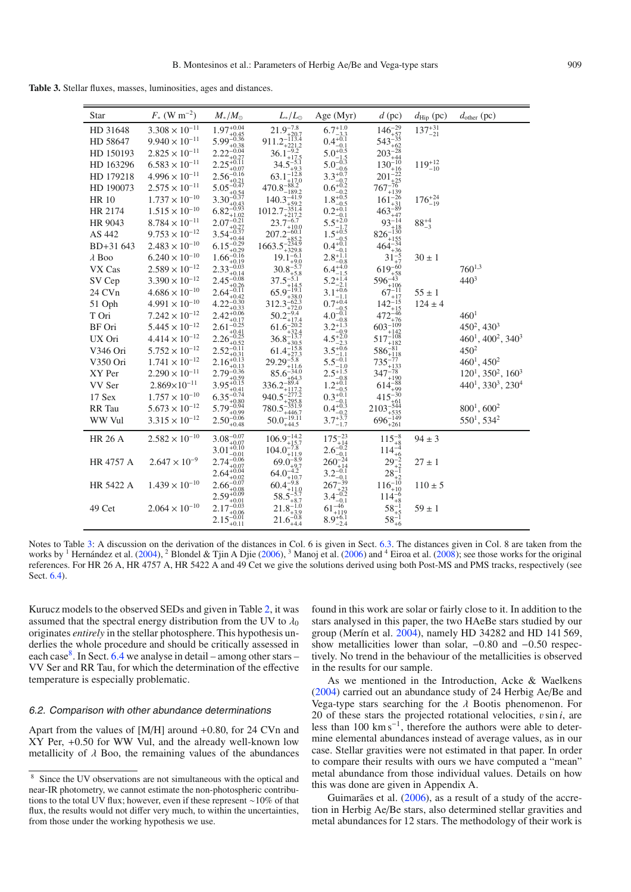<span id="page-8-0"></span>**Table 3.** Stellar fluxes, masses, luminosities, ages and distances.

| <b>Star</b>    | $F_*$ (W m <sup>-2</sup> ) | $M_{*}/M_{\odot}$                               | $L_*/L_{\odot}$                                                                                    | Age (Myr)                                                                                                                                                                                     | $d$ (pc)                                               | $d_{\text{Hip}}$ (pc) | $d_{\text{other}}$ (pc)             |
|----------------|----------------------------|-------------------------------------------------|----------------------------------------------------------------------------------------------------|-----------------------------------------------------------------------------------------------------------------------------------------------------------------------------------------------|--------------------------------------------------------|-----------------------|-------------------------------------|
| HD 31648       | $3.308\times10^{-11}$      | $1.97^{+0.04}_{+0.45}$                          | $21.9_{+20.7}^{-7.8}$                                                                              | $6.7^{+1.0}_{-3.3}$                                                                                                                                                                           | $146_{+57}^{-29}$                                      | $137^{+31}_{-21}$     |                                     |
| HD 58647       | $9.940 \times 10^{-11}$    | $5.99^{-0.36}$<br>$+0.38$                       | $911.2_{+221.2}^{-1\overline{1}\overline{3}\overline{.4}}$                                         | $0.4^{+0.1}_{-0.1}$                                                                                                                                                                           | $543_{+62}^{+35}$                                      |                       |                                     |
| HD 150193      | $2.825 \times 10^{-11}$    | $2.22^{-0.04}$                                  | $36.1^{-9.2}$<br>+17.5                                                                             | $5.0^{+0.5}$                                                                                                                                                                                  |                                                        |                       |                                     |
| HD 163296      | $6.583 \times 10^{-11}$    | $+0.07$                                         | $34.5_{+9.3}^{-5.1}$                                                                               |                                                                                                                                                                                               | $203_{+44}^{+22}$<br>$130_{+16}^{+10}$                 | $119^{+12}_{-10}$     |                                     |
| HD 179218      | $4.996 \times 10^{-11}$    | $2.56_{+0.21}^{-0.16}$<br>5.05 <sup>-0.47</sup> | $63.1_{-17.0}^{+9.3}$ $470.8_{-189.2}^{-88.2}$ $140.3_{-459.2}^{-41.9}$ $1012.7_{-351.4}^{-351.4}$ | 5.0 <sup>--1.5</sup><br>5.0 <sup>--0.3</sup><br>5.0 <sup>-0.3</sup><br>3.3 <sup>+0.7</sup><br>0.7<br>0.7 <sup>-0.2</sup><br>1.8 <sup>+0.2</sup><br>0.5 <sup>-0.2</sup><br>0.2 <sup>+0.1</sup> | $201_{+25}^{-22}$                                      |                       |                                     |
| HD 190073      | $2.575 \times 10^{-11}$    |                                                 |                                                                                                    |                                                                                                                                                                                               |                                                        |                       |                                     |
| <b>HR 10</b>   | $1.737 \times 10^{-10}$    | $3.30_{-0.37}^{+0.54}$                          |                                                                                                    |                                                                                                                                                                                               | $767_{+139}^{+25}$ $161_{+31}^{-26}$ $463_{+31}^{-89}$ | $176^{+24}_{-19}$     |                                     |
| HR 2174        | $1.515 \times 10^{-10}$    | $6.82^{-0.43}$                                  |                                                                                                    | $-0.1$                                                                                                                                                                                        |                                                        |                       |                                     |
| HR 9043        | $8.784 \times 10^{-11}$    | $2.07 - 0.21$<br>$+0.27$                        | $23.7_{-10.2}^{+217.2}$<br>$+10.0$                                                                 |                                                                                                                                                                                               | $93^{-14}_{+18}$                                       | $88^{+4}_{-3}$        |                                     |
| AS 442         | $9.753 \times 10^{-12}$    | $3.54 - 0.37$<br>+0.44                          | $207.2_{-0.7} - 60.1$                                                                              |                                                                                                                                                                                               | $826_{+155}^{-130}$                                    |                       |                                     |
| BD+31 643      | $2.483 \times 10^{-10}$    | $6.15^{-0.29}$<br>$+0.29$                       | $1663.5_{+329.8}^{+0.4}_{-85.2}$ $19.1_{-6.1}^{-6.1}$                                              | $5.5^{+2.0}_{-1.7}$<br>$1.5^{+0.5}_{-0.5}$<br>$0.4^{+0.1}_{-0.1}$                                                                                                                             | $464^{-34}$<br>+36                                     |                       |                                     |
| $\lambda$ Boo  | $6.240 \times 10^{-10}$    | $1.66 - 0.16$<br>$+0.19$                        |                                                                                                    | $2.8_{-0.8}^{+1.1}$<br>6.4 <sup>+4.0</sup>                                                                                                                                                    | $31^{-5}_{+7}$                                         | $30 \pm 1$            |                                     |
| VX Cas         | $2.589 \times 10^{-12}$    | $2.33 - 0.03$<br>$+0.14$                        | $30.8^{-5.7}$<br>$+5.8$                                                                            | $-1.5$                                                                                                                                                                                        | $619^{-60}_{+58}$                                      |                       | $760^{1,3}$                         |
| SV Cep         | $3.390 \times 10^{-12}$    | $2.45 - 0.08$<br>$+0.26$                        | $37.5_{+14.5}^{-5.1}$                                                                              | $5.2^{+1.4}_{-2.1}$                                                                                                                                                                           | $596_{+106}^{-43}$                                     |                       | $440^3$                             |
| 24 CVn         | $4.686 \times 10^{-10}$    | $2.64_{-0.11}^{-0.11}$<br>$+0.42$               | $65.9^{-19.1}$<br>$+38.0$                                                                          | $3.1_{-1.1}^{+0.6}$                                                                                                                                                                           | $67^{-11}_{+17}$                                       | $55 \pm 1$            |                                     |
| 51 Oph         | $4.991 \times 10^{-10}$    | $4.22^{-0.30}$<br>$+0.33$                       | $312.3_{-72.3}^{62.3}$<br>$+72.0$                                                                  | $0.7^{+0.4}_{-0.5}$                                                                                                                                                                           | $142_{+15}^{-15}$                                      | $124 \pm 4$           |                                     |
| T Ori          | $7.242\times10^{-12}$      | $2.42^{+0.06}$<br>+0.17                         | $50.2^{-9.4}$<br>$+17.4$                                                                           | $4.0^{-0.1}_{-0.8}$                                                                                                                                                                           | $472^{+46}_{+76}$                                      |                       | 460 <sup>1</sup>                    |
| BF Ori         | $5.445\times10^{-12}$      | $2.61 - 0.25$<br>$+0.41$                        | $61.6^{-20.2}_{-22}$<br>32.4                                                                       | $3.2^{+1.3}_{-0.9}$                                                                                                                                                                           | $603_{+142}^{-109}$                                    |                       | $450^2, 430^3$                      |
| UX Ori         | $4.414 \times 10^{-12}$    | $2.26^{-0.25}$<br>$+0.52$                       | $36.8^{-13.7}_{-20.7}$<br>$-30.5$                                                                  | $4.5^{+2.0}_{-2.3}$                                                                                                                                                                           | $517_{+182}^{-108}$                                    |                       | $460^1, 400^2, 340^3$               |
| V346 Ori       | $5.752 \times 10^{-12}$    | $2.52_{+0.31}^{-0.11}$                          | $-15.8$<br>$61.4^{--1,0.0}_{+27.3}$                                                                | $3.5^{+0.6}_{-1.1}$                                                                                                                                                                           | $586_{+118}^{-81}$                                     |                       | $450^{2}$                           |
| V350 Ori       | $1.741 \times 10^{-12}$    | $2.16^{+0.13}_{-0.12}$<br>$+0.13$               | $29.29^{-5.8}$<br>$+11.6$                                                                          | $5.5_{-1.0}^{-0.1}$                                                                                                                                                                           | $735^{-77}_{+133}$                                     |                       | $460^1, 450^2$                      |
| XY Per         | $2.290 \times 10^{-11}$    | $2.79_{+0.59}^{-0.36}$                          | $85.6_{+64.3}^{-34.0}$                                                                             | $2.5^{+1.5}_{-0.8}$                                                                                                                                                                           | $347_{+190}^{+78}$                                     |                       | $120^1$ , $350^2$ , $160^3$         |
| VV Ser         | $2.869\times10^{-11}$      | $3.95_{+0.41}^{+0.15}$                          | $336.2_{+117.2}^{-89.4}$                                                                           | $1.2^{+0.1}_{-0.5}$                                                                                                                                                                           | $614_{+99}^{-88}$                                      |                       | $440^1$ , $330^3$ , $230^4$         |
| 17 Sex         | $1.757 \times 10^{-10}$    | $6.35_{+0.80}^{-0.74}$                          | $940.5_{+295.8}^{-277.2}$                                                                          | $0.3^{+0.1}_{-0.1}$                                                                                                                                                                           | $415^{-30}$                                            |                       |                                     |
| RR Tau         | $5.673 \times 10^{-12}$    | $5.79_{+0.99}^{-0.94}$                          | $780.5_{+446.7}^{-351.9}$                                                                          | $0.4^{+0.3}_{-0.2}$                                                                                                                                                                           | $2103_{+535}^{-544}$                                   |                       | $800^1, 600^2$                      |
| WW Vul         | $3.315 \times 10^{-12}$    | $2.50_{+0.48}^{-0.06}$                          | $50.0_{+44.5}^{-19.11}$                                                                            | $3.7^{+3.7}_{-1.7}$                                                                                                                                                                           | $696_{+261}^{+149}$                                    |                       | 550 <sup>1</sup> , 534 <sup>2</sup> |
| <b>HR 26 A</b> | $2.582 \times 10^{-10}$    | $3.08_{+0.07}^{-0.07}$                          | $106.9_{+15.7}^{-14.2}$                                                                            | $175^{-23}_{+14}$                                                                                                                                                                             | $115^{-8}_{+8}$                                        | $94 \pm 3$            |                                     |
|                |                            | $3.01_{-0.01}^{+0.10}$                          | $104.0_{+11.9}^{-7.8}$                                                                             | $2.6_{-0.1}^{-0.2}$                                                                                                                                                                           | $114^{-4}_{+6}$                                        |                       |                                     |
| HR 4757 A      | $2.647 \times 10^{-9}$     | $2.74_{+0.07}^{-0.06}$                          | $69.0_{+9.7}^{-8.9}$                                                                               | $260^{-24}_{+14}$                                                                                                                                                                             | $29^{-2}_{+2}$                                         | $27 \pm 1$            |                                     |
|                |                            | $2.64_{-0.04}^{+0.04}$<br>$+0.02$               | $64.0_{+10.7}^{-4.2}$                                                                              | $3.2_{-0.1}^{-0.1}$                                                                                                                                                                           | $28^{-1}_{+2}$                                         |                       |                                     |
| HR 5422 A      | $1.439 \times 10^{-10}$    | $2.66 - 0.07$<br>$+0.08$                        | $60.4_{+11.0}^{-9.8}$<br>58.5 <sup>-5.7</sup>                                                      | $267_{+23}^{-39}$<br>3.4 <sup>-0.2</sup>                                                                                                                                                      | $116^{-10}_{+10}$                                      | $110 \pm 5$           |                                     |
|                |                            | $2.59^{+0.09}_{-0.02}$<br>$+0.01$               |                                                                                                    |                                                                                                                                                                                               | $114^{-6}_{+8}$                                        |                       |                                     |
| 49 Cet         | $2.064 \times 10^{-10}$    | $2.17^{-0.03}$<br>$+0.06$                       | $21.8_{+3.9}^{+6.7}_{+3.9}$<br>21.6 <sup>-0.8</sup>                                                | $61_{+119}^{-46}$                                                                                                                                                                             | $58^{-1}_{+5}$                                         | $59 \pm 1$            |                                     |
|                |                            | $2.15_{+0.11}^{-0.01}$                          |                                                                                                    | $8.9^{+6.1}_{-2.4}$                                                                                                                                                                           | $58^{-1}_{+6}$                                         |                       |                                     |

Notes to Table [3:](#page-8-0) A discussion on the derivation of the distances in Col. 6 is given in Sect. [6.3.](#page-9-1) The distances given in Col. 8 are taken from the works by <sup>1</sup> Hernández et al. [\(2004\)](#page-16-23), <sup>2</sup> Blondel & Tjin A Djie [\(2006\)](#page-16-18), <sup>3</sup> Manoj et al. (2006) and <sup>4</sup> Eiroa et al. [\(2008\)](#page-16-36); see those works for the original references. For HR 26 A, HR 4757 A, HR 5422 A and 49 Cet we give the solutions derived using both Post-MS and PMS tracks, respectively (see Sect. [6.4\)](#page-10-0).

<span id="page-8-1"></span>Kurucz models to the observed SEDs and given in Table [2,](#page-3-2) it was assumed that the spectral energy distribution from the UV to  $\lambda_0$ originates *entirely* in the stellar photosphere. This hypothesis underlies the whole procedure and should be critically assessed in each case<sup>8</sup>. In Sect. [6.4](#page-10-0) we analyse in detail – among other stars – VV Ser and RR Tau, for which the determination of the effective temperature is especially problematic.

#### 6.2. Comparison with other abundance determinations

Apart from the values of [M/H] around +0.80, for 24 CVn and XY Per, +0.50 for WW Vul, and the already well-known low metallicity of  $\lambda$  Boo, the remaining values of the abundances found in this work are solar or fairly close to it. In addition to the stars analysed in this paper, the two HAeBe stars studied by our group (Merín et al. [2004\)](#page-16-9), namely HD 34282 and HD 141 569, show metallicities lower than solar,  $-0.80$  and  $-0.50$  respectively. No trend in the behaviour of the metallicities is observed in the results for our sample.

As we mentioned in the Introduction, Acke & Waelkens [\(2004\)](#page-16-16) carried out an abundance study of 24 Herbig Ae/Be and Vega-type stars searching for the  $\lambda$  Bootis phenomenon. For 20 of these stars the projected rotational velocities,  $v \sin i$ , are less than 100 km s−1, therefore the authors were able to determine elemental abundances instead of average values, as in our case. Stellar gravities were not estimated in that paper. In order to compare their results with ours we have computed a "mean" metal abundance from those individual values. Details on how this was done are given in Appendix A.

Guimarães et al. [\(2006\)](#page-16-17), as a result of a study of the accretion in Herbig Ae/Be stars, also determined stellar gravities and metal abundances for 12 stars. The methodology of their work is

<sup>8</sup> Since the UV observations are not simultaneous with the optical and near-IR photometry, we cannot estimate the non-photospheric contributions to the total UV flux; however, even if these represent ∼10% of that flux, the results would not differ very much, to within the uncertainties, from those under the working hypothesis we use.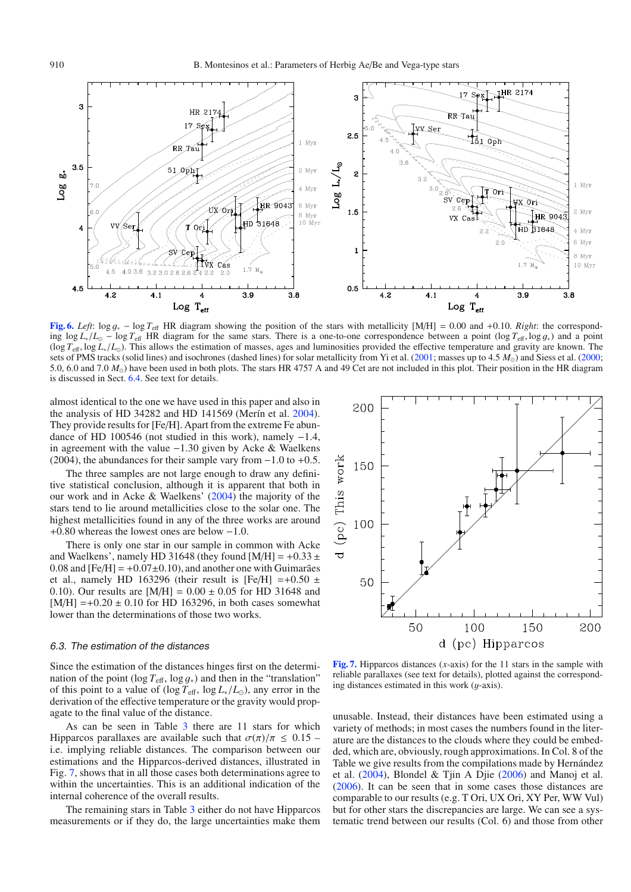<span id="page-9-0"></span>

**[Fig. 6.](http://dexter.edpsciences.org/applet.php?DOI=10.1051/0004-6361:200810623&pdf_id=6)** *Left*: log <sup>g</sup><sup>∗</sup> <sup>−</sup> log *<sup>T</sup>*<sup>e</sup>ff HR diagram showing the position of the stars with metallicity [M/H] <sup>=</sup> 0.00 and <sup>+</sup>0.10. *Right*: the corresponding  $\log L_*/L_{\odot}$  − log  $T_{\text{eff}}$  HR diagram for the same stars. There is a one-to-one correspondence between a point (log  $T_{\text{eff}}$ , log  $g_*)$ ) and a point (log *<sup>T</sup>*<sup>e</sup>ff, log *<sup>L</sup>*<sup>∗</sup>/*L*). This allows the estimation of masses, ages and luminosities provided the effective temperature and gravity are known. The sets of PMS tracks (solid lines) and isochrones (dashed lines) for solar metallicity from Yi et al. [\(2001;](#page-16-32) masses up to 4.5  $M_{\odot}$ ) and Siess et al. [\(2000;](#page-16-33) 5.0, 6.0 and 7.0 *M*) have been used in both plots. The stars HR 4757 A and 49 Cet are not included in this plot. Their position in the HR diagram is discussed in Sect. [6.4.](#page-10-0) See text for details.

almost identical to the one we have used in this paper and also in the analysis of HD 34282 and HD 141569 (Merín et al. [2004\)](#page-16-9). They provide results for [Fe/H]. Apart from the extreme Fe abundance of HD 100546 (not studied in this work), namely <sup>−</sup>1.4, in agreement with the value <sup>−</sup>1.30 given by Acke & Waelkens (2004), the abundances for their sample vary from  $-1.0$  to  $+0.5$ .

The three samples are not large enough to draw any definitive statistical conclusion, although it is apparent that both in our work and in Acke & Waelkens' [\(2004\)](#page-16-16) the majority of the stars tend to lie around metallicities close to the solar one. The highest metallicities found in any of the three works are around <sup>+</sup>0.80 whereas the lowest ones are below <sup>−</sup>1.0.

There is only one star in our sample in common with Acke and Waelkens', namely HD 31648 (they found  $[M/H] = +0.33 \pm 10^{-10}$ 0.08 and  $[Fe/H] = +0.07 \pm 0.10$ , and another one with Guimarães et al., namely HD 163296 (their result is [Fe/H] =+0.50  $\pm$ 0.10). Our results are  $[M/H] = 0.00 \pm 0.05$  for HD 31648 and  $[M/H] = +0.20 \pm 0.10$  for HD 163296, in both cases somewhat lower than the determinations of those two works.

#### <span id="page-9-1"></span>6.3. The estimation of the distances

Since the estimation of the distances hinges first on the determination of the point ( $\log T_{\text{eff}}$ ,  $\log q_*$ ) and then in the "translation" of this point to a value of (log  $T_{\text{eff}}$ , log  $L_*/L_{\odot}$ ), any error in the derivation of the effective temperature or the gravity would propagate to the final value of the distance.

As can be seen in Table [3](#page-8-0) there are 11 stars for which Hipparcos parallaxes are available such that  $\sigma(\pi)/\pi \leq 0.15$  – i.e. implying reliable distances. The comparison between our estimations and the Hipparcos-derived distances, illustrated in Fig. [7,](#page-9-2) shows that in all those cases both determinations agree to within the uncertainties. This is an additional indication of the internal coherence of the overall results.

The remaining stars in Table [3](#page-8-0) either do not have Hipparcos measurements or if they do, the large uncertainties make them

<span id="page-9-2"></span>

**[Fig. 7.](http://dexter.edpsciences.org/applet.php?DOI=10.1051/0004-6361:200810623&pdf_id=7)** Hipparcos distances (*x*-axis) for the 11 stars in the sample with reliable parallaxes (see text for details), plotted against the corresponding distances estimated in this work (y-axis).

unusable. Instead, their distances have been estimated using a variety of methods; in most cases the numbers found in the literature are the distances to the clouds where they could be embedded, which are, obviously, rough approximations. In Col. 8 of the Table we give results from the compilations made by Hernández et al. [\(2004\)](#page-16-23), Blondel & Tjin A Djie [\(2006\)](#page-16-35) and Manoj et al. [\(2006\)](#page-16-18). It can be seen that in some cases those distances are comparable to our results (e.g. T Ori, UX Ori, XY Per, WW Vul) but for other stars the discrepancies are large. We can see a systematic trend between our results (Col. 6) and those from other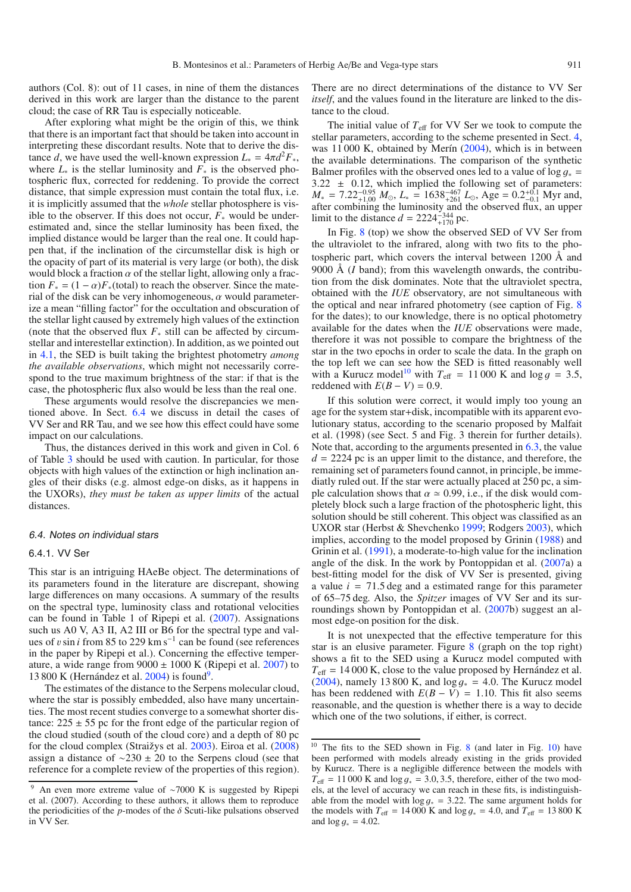authors (Col. 8): out of 11 cases, in nine of them the distances derived in this work are larger than the distance to the parent cloud; the case of RR Tau is especially noticeable.

After exploring what might be the origin of this, we think that there is an important fact that should be taken into account in interpreting these discordant results. Note that to derive the distance *d*, we have used the well-known expression  $L_* = 4\pi d^2 F_*$ , where  $L_*$  is the stellar luminosity and  $F_*$  is the observed photospheric flux, corrected for reddening. To provide the correct distance, that simple expression must contain the total flux, i.e. it is implicitly assumed that the *whole* stellar photosphere is visible to the observer. If this does not occur,  $F_*$  would be underestimated and, since the stellar luminosity has been fixed, the implied distance would be larger than the real one. It could happen that, if the inclination of the circumstellar disk is high or the opacity of part of its material is very large (or both), the disk would block a fraction  $\alpha$  of the stellar light, allowing only a fraction  $F_* = (1 - \alpha) F_*(\text{total})$  to reach the observer. Since the material of the disk can be very inhomogeneous,  $\alpha$  would parameterize a mean "filling factor" for the occultation and obscuration of the stellar light caused by extremely high values of the extinction (note that the observed flux *F*<sup>∗</sup> still can be affected by circumstellar and interestellar extinction). In addition, as we pointed out in [4.1,](#page-2-3) the SED is built taking the brightest photometry *among the available observations*, which might not necessarily correspond to the true maximum brightness of the star: if that is the case, the photospheric flux also would be less than the real one.

These arguments would resolve the discrepancies we mentioned above. In Sect. [6.4](#page-10-0) we discuss in detail the cases of VV Ser and RR Tau, and we see how this effect could have some impact on our calculations.

Thus, the distances derived in this work and given in Col. 6 of Table [3](#page-8-0) should be used with caution. In particular, for those objects with high values of the extinction or high inclination angles of their disks (e.g. almost edge-on disks, as it happens in the UXORs), *they must be taken as upper limits* of the actual distances.

#### <span id="page-10-0"></span>6.4. Notes on individual stars

## 6.4.1. VV Ser

This star is an intriguing HAeBe object. The determinations of its parameters found in the literature are discrepant, showing large differences on many occasions. A summary of the results on the spectral type, luminosity class and rotational velocities can be found in Table 1 of Ripepi et al. [\(2007\)](#page-16-37). Assignations such us A0 V, A3 II, A2 III or B6 for the spectral type and values of *v* sin *i* from 85 to 229 km s<sup>−1</sup> can be found (see references in the paper by Ripepi et al.). Concerning the effective temperature, a wide range from  $9000 \pm 1000$  K (Ripepi et al. [2007\)](#page-16-37) to 13 800 K (Hernández et al.  $2004$ ) is found<sup>9</sup>.

<span id="page-10-1"></span>The estimates of the distance to the Serpens molecular cloud, where the star is possibly embedded, also have many uncertainties. The most recent studies converge to a somewhat shorter distance:  $225 \pm 55$  pc for the front edge of the particular region of the cloud studied (south of the cloud core) and a depth of 80 pc for the cloud complex (Straižys et al. [2003\)](#page-16-38). Eiroa et al. [\(2008\)](#page-16-36) assign a distance of  $\sim$ 230 ± 20 to the Serpens cloud (see that reference for a complete review of the properties of this region).

There are no direct determinations of the distance to VV Ser *itself*, and the values found in the literature are linked to the distance to the cloud.

The initial value of  $T_{\text{eff}}$  for VV Ser we took to compute the stellar parameters, according to the scheme presented in Sect. [4,](#page-2-0) was 11 000 K, obtained by Merín [\(2004\)](#page-16-21), which is in between the available determinations. The comparison of the synthetic Balmer profiles with the observed ones led to a value of log  $g_*$  = 3.22  $\pm$  0.12, which implied the following set of parameters:  $3.22 \pm 0.12$ , which implied the following set of parameters:<br> $M_{\odot} = 7.22^{-0.95}$   $M_{\odot} I_{\odot} = 1638^{-467} I_{\odot}$  Age = 0.2<sup>+0.1</sup> Myr and  $M_* = 7.22_{+1.00}^{-0.95} M_{\odot}$ ,  $L_* = 1638_{+261}^{-467} L_{\odot}$ , Age =  $0.2_{-0.1}^{+0.1}$  Myr and, after combining the luminosity and the observed flux, an upper limit to the distance  $d = 2224_{+170}^{-344}$  pc.

In Fig. [8](#page-11-0) (top) we show the observed SED of VV Ser from the ultraviolet to the infrared, along with two fits to the photospheric part, which covers the interval between 1200 Å and 9000 Å (*I* band); from this wavelength onwards, the contribution from the disk dominates. Note that the ultraviolet spectra, obtained with the *IUE* observatory, are not simultaneous with the optical and near infrared photometry (see caption of Fig. [8](#page-11-0) for the dates); to our knowledge, there is no optical photometry available for the dates when the *IUE* observations were made, therefore it was not possible to compare the brightness of the star in the two epochs in order to scale the data. In the graph on the top left we can see how the SED is fitted reasonably well with a Kurucz model<sup>10</sup> with  $T_{\text{eff}} = 11\,000$  K and  $\log g = 3.5$ , reddened with  $E(B - V) = 0.9$ .

If this solution were correct, it would imply too young an age for the system star+disk, incompatible with its apparent evolutionary status, according to the scenario proposed by Malfait et al. (1998) (see Sect. 5 and Fig. 3 therein for further details). Note that, according to the arguments presented in [6.3,](#page-9-1) the value  $d = 2224$  pc is an upper limit to the distance, and therefore, the remaining set of parameters found cannot, in principle, be immediatly ruled out. If the star were actually placed at 250 pc, a simple calculation shows that  $\alpha \simeq 0.99$ , i.e., if the disk would completely block such a large fraction of the photospheric light, this solution should be still coherent. This object was classified as an UXOR star (Herbst & Shevchenko [1999;](#page-16-39) Rodgers [2003\)](#page-16-40), which implies, according to the model proposed by Grinin [\(1988\)](#page-16-41) and Grinin et al. [\(1991\)](#page-16-42), a moderate-to-high value for the inclination angle of the disk. In the work by Pontoppidan et al.  $(2007a)$  $(2007a)$  a best-fitting model for the disk of VV Ser is presented, giving a value  $i = 71.5$  deg and a estimated range for this parameter of 65–75 deg. Also, the *Spitzer* images of VV Ser and its surroundings shown by Pontoppidan et al. [\(2007b](#page-16-43)) suggest an almost edge-on position for the disk.

<span id="page-10-2"></span>It is not unexpected that the effective temperature for this star is an elusive parameter. Figure  $8$  (graph on the top right) shows a fit to the SED using a Kurucz model computed with  $T_{\text{eff}}$  = 14 000 K, close to the value proposed by Hernández et al. [\(2004\)](#page-16-23), namely 13 800 K, and  $\log g_* = 4.0$ . The Kurucz model has been reddened with  $E(B - V) = 1.10$ . This fit also seems reasonable, and the question is whether there is a way to decide which one of the two solutions, if either, is correct.

<sup>9</sup> An even more extreme value of ∼7000 K is suggested by Ripepi et al. (2007). According to these authors, it allows them to reproduce the periodicities of the  $p$ -modes of the  $\delta$  Scuti-like pulsations observed in VV Ser.

<sup>&</sup>lt;sup>10</sup> The fits to the SED shown in Fig. [8](#page-11-0) (and later in Fig. [10\)](#page-12-0) have been performed with models already existing in the grids provided by Kurucz. There is a negligible difference between the models with  $T_{\text{eff}} = 11000 \text{ K}$  and  $\log g_* = 3.0, 3.5$ , therefore, either of the two models, at the level of accuracy we can reach in these fits, is indistinguishable from the model with  $\log g_* = 3.22$ . The same argument holds for the models with  $T_{\text{eff}} = 14\,000 \text{ K}$  and  $\log g_* = 4.0$ , and  $T_{\text{eff}} = 13\,800 \text{ K}$ and  $\log g_* = 4.02$ .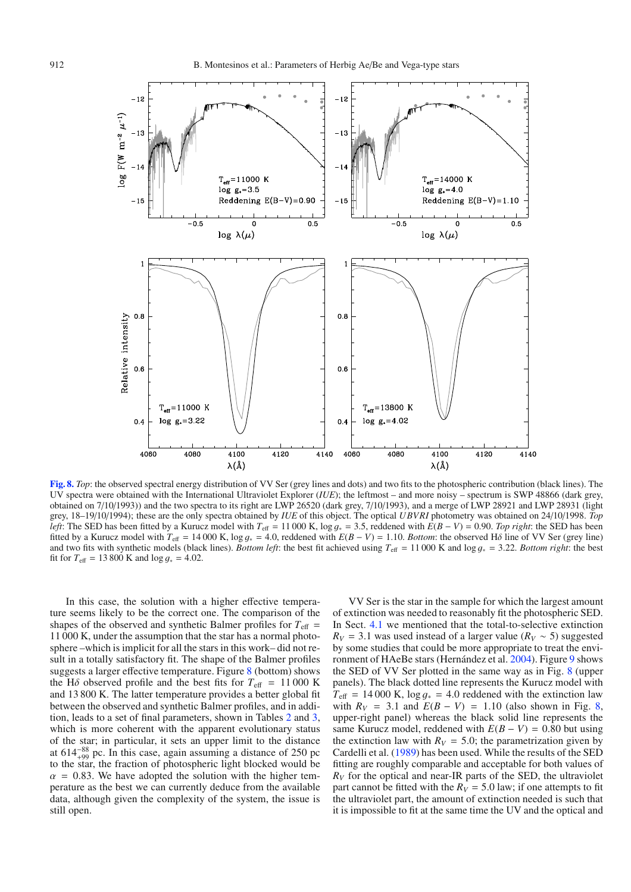

<span id="page-11-0"></span>**[Fig. 8.](http://dexter.edpsciences.org/applet.php?DOI=10.1051/0004-6361:200810623&pdf_id=8)** *Top*: the observed spectral energy distribution of VV Ser (grey lines and dots) and two fits to the photospheric contribution (black lines). The UV spectra were obtained with the International Ultraviolet Explorer (*IUE*); the leftmost – and more noisy – spectrum is SWP 48866 (dark grey, obtained on 7/10/1993)) and the two spectra to its right are LWP 26520 (dark grey, 7/10/1993), and a merge of LWP 28921 and LWP 28931 (light grey, 18–19/10/1994); these are the only spectra obtained by *IUE* of this object. The optical *UBVRI* photometry was obtained on 24/10/1998. *Top left*: The SED has been fitted by a Kurucz model with  $T_{\text{eff}} = 11000 \text{ K}$ ,  $\log g_* = 3.5$ , reddened with  $E(B - V) = 0.90$ . *Top right*: the SED has been fitted by a Kurucz model with  $T_{\text{eff}} = 14000 \text{ K}$ ,  $\log g_* = 4.0$ , reddened with  $E(B - V) = 1.10$ . *Bottom*: the observed H $\delta$  line of VV Ser (grey line) and two fits with synthetic models (black lines). *Bottom left*: the best fit achieved using  $T_{\text{eff}} = 11\,000$  K and log  $g_* = 3.22$ . *Bottom right*: the best fit for  $T_{\text{eff}} = 13800 \text{ K}$  and  $\log g_* = 4.02$ .

In this case, the solution with a higher effective temperature seems likely to be the correct one. The comparison of the shapes of the observed and synthetic Balmer profiles for  $T_{\text{eff}}$  = 11 000 K, under the assumption that the star has a normal photosphere –which is implicit for all the stars in this work– did not result in a totally satisfactory fit. The shape of the Balmer profiles suggests a larger effective temperature. Figure  $8$  (bottom) shows the H<sub> $\delta$ </sub> observed profile and the best fits for  $T_{\text{eff}}$  = 11 000 K and 13 800 K. The latter temperature provides a better global fit between the observed and synthetic Balmer profiles, and in addition, leads to a set of final parameters, shown in Tables [2](#page-3-2) and [3,](#page-8-0) which is more coherent with the apparent evolutionary status of the star; in particular, it sets an upper limit to the distance at  $614_{+99}^{-88}$  pc. In this case, again assuming a distance of 250 pc to the star, the fraction of photospheric light blocked would be  $\alpha$  = 0.83. We have adopted the solution with the higher temperature as the best we can currently deduce from the available data, although given the complexity of the system, the issue is still open.

VV Ser is the star in the sample for which the largest amount of extinction was needed to reasonably fit the photospheric SED. In Sect. [4.1](#page-2-3) we mentioned that the total-to-selective extinction  $R_V$  = 3.1 was used instead of a larger value ( $R_V \sim 5$ ) suggested by some studies that could be more appropriate to treat the environment of HAeBe stars (Hernández et al. [2004\)](#page-16-23). Figure [9](#page-12-1) shows the SED of VV Ser plotted in the same way as in Fig. [8](#page-11-0) (upper panels). The black dotted line represents the Kurucz model with  $T_{\text{eff}}$  = 14 000 K,  $\log g_*$  = 4.0 reddened with the extinction law with  $R_V$  = 3.1 and  $F(R - V)$  = 1.10 (also shown in Fig. 8) with  $R_V = 3.1$  and  $E(B - V) = 1.10$  (also shown in Fig. [8,](#page-11-0) upper-right panel) whereas the black solid line represents the upper-right panel) whereas the black solid line represents the same Kurucz model, reddened with  $E(B - V) = 0.80$  but using the extinction law with  $R_V = 5.0$ ; the parametrization given by Cardelli et al. [\(1989\)](#page-16-44) has been used. While the results of the SED fitting are roughly comparable and acceptable for both values of  $R_V$  for the optical and near-IR parts of the SED, the ultraviolet part cannot be fitted with the  $R_V = 5.0$  law; if one attempts to fit the ultraviolet part, the amount of extinction needed is such that it is impossible to fit at the same time the UV and the optical and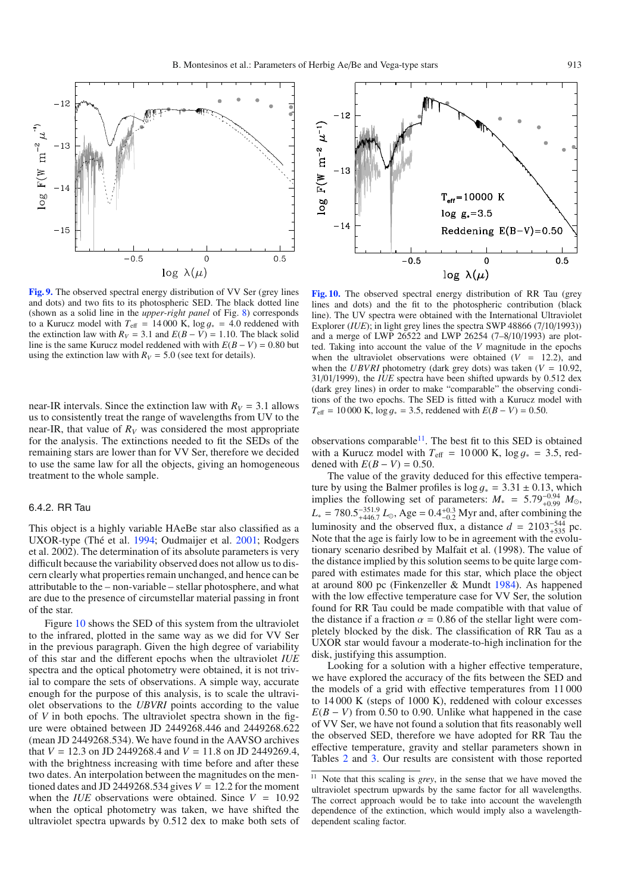<span id="page-12-1"></span>

**[Fig. 9.](http://dexter.edpsciences.org/applet.php?DOI=10.1051/0004-6361:200810623&pdf_id=9)** The observed spectral energy distribution of VV Ser (grey lines and dots) and two fits to its photospheric SED. The black dotted line (shown as a solid line in the *upper-right panel* of Fig. [8\)](#page-11-0) corresponds to a Kurucz model with  $T_{\text{eff}} = 14000 \text{ K}$ ,  $\log q_* = 4.0 \text{ reduced with}$ the extinction law with  $R_V = 3.1$  and  $E(B - V) = 1.10$ . The black solid line is the same Kurucz model reddened with with  $E(B - V) = 0.80$  but using the extinction law with  $R_V = 5.0$  (see text for details).

near-IR intervals. Since the extinction law with  $R_V = 3.1$  allows us to consistently treat the range of wavelengths from UV to the near-IR, that value of  $R_V$  was considered the most appropriate for the analysis. The extinctions needed to fit the SEDs of the remaining stars are lower than for VV Ser, therefore we decided to use the same law for all the objects, giving an homogeneous treatment to the whole sample.

## 6.4.2. RR Tau

This object is a highly variable HAeBe star also classified as a UXOR-type (Thé et al. [1994;](#page-16-45) Oudmaijer et al. [2001;](#page-16-15) Rodgers et al. 2002). The determination of its absolute parameters is very difficult because the variability observed does not allow us to discern clearly what properties remain unchanged, and hence can be attributable to the – non-variable – stellar photosphere, and what are due to the presence of circumstellar material passing in front of the star.

Figure [10](#page-12-0) shows the SED of this system from the ultraviolet to the infrared, plotted in the same way as we did for VV Ser in the previous paragraph. Given the high degree of variability of this star and the different epochs when the ultraviolet *IUE* spectra and the optical photometry were obtained, it is not trivial to compare the sets of observations. A simple way, accurate enough for the purpose of this analysis, is to scale the ultraviolet observations to the *UBVRI* points according to the value of *V* in both epochs. The ultraviolet spectra shown in the figure were obtained between JD 2449268.446 and 2449268.622 (mean JD 2449268.534). We have found in the AAVSO archives that *<sup>V</sup>* <sup>=</sup> <sup>12</sup>.3 on JD 2449268.4 and *<sup>V</sup>* <sup>=</sup> <sup>11</sup>.8 on JD 2449269.4, with the brightness increasing with time before and after these two dates. An interpolation between the magnitudes on the mentioned dates and JD 2449268.534 gives  $V = 12.2$  for the moment when the *IUE* observations were obtained. Since  $V = 10.92$ when the optical photometry was taken, we have shifted the ultraviolet spectra upwards by 0.512 dex to make both sets of

<span id="page-12-0"></span>

**[Fig. 10.](http://dexter.edpsciences.org/applet.php?DOI=10.1051/0004-6361:200810623&pdf_id=10)** The observed spectral energy distribution of RR Tau (grey lines and dots) and the fit to the photospheric contribution (black line). The UV spectra were obtained with the International Ultraviolet Explorer *(IUE)*; in light grey lines the spectra SWP 48866 (7/10/1993)) and a merge of LWP 26522 and LWP 26254 (7–8/10/1993) are plotted. Taking into account the value of the *V* magnitude in the epochs when the ultraviolet observations were obtained  $(V = 12.2)$ , and when the *UBVRI* photometry (dark grey dots) was taken ( $V = 10.92$ , 31/01/1999), the *IUE* spectra have been shifted upwards by 0.512 dex (dark grey lines) in order to make "comparable" the observing conditions of the two epochs. The SED is fitted with a Kurucz model with  $T_{\text{eff}} = 10000 \text{ K}$ ,  $\log g_* = 3.5$ , reddened with  $E(B - V) = 0.50$ .

observations comparable<sup>11</sup>. The best fit to this SED is obtained with a Kurucz model with  $T_{\text{eff}} = 10000 \text{ K}$ ,  $\log g_* = 3.5$ , reddened with  $E(B - V) = 0.50$ .

The value of the gravity deduced for this effective tempera-<br>ture by using the Balmer profiles is  $\log g_* = 3.31 \pm 0.13$ , which ture by using the Balmer profiles is  $\log g_* = 3.31 \pm 0.13$ , which<br>implies the following set of parameters:  $M_1 = 5.79^{-0.94} M_2$ implies the following set of parameters:  $M_* = 5.79_{-0.94}^{0.94} M_{\odot}$ ,<br> $M = 780.5^{-351.9} J \Delta \Omega = 0.4^{+0.3}$  Myr and after combining the  $L_* = 780.5^{-351.9}_{+446.7} L_{\odot}$ , Age =  $0.4^{+0.3}_{-0.2}$  Myr and, after combining the<br>luminosity and the observed flux a distance  $d = 2103^{-544}$  ac luminosity and the observed flux, a distance  $d = 2103^{-.544}_{-.535}$  pc. Note that the age is fairly low to be in agreement with the evolutionary scenario desribed by Malfait et al. (1998). The value of the distance implied by this solution seems to be quite large compared with estimates made for this star, which place the object at around 800 pc (Finkenzeller & Mundt [1984\)](#page-16-46). As happened with the low effective temperature case for VV Ser, the solution found for RR Tau could be made compatible with that value of the distance if a fraction  $\alpha = 0.86$  of the stellar light were completely blocked by the disk. The classification of RR Tau as a UXOR star would favour a moderate-to-high inclination for the disk, justifying this assumption.

<span id="page-12-2"></span>Looking for a solution with a higher effective temperature, we have explored the accuracy of the fits between the SED and the models of a grid with effective temperatures from 11 000 to 14 000 K (steps of 1000 K), reddened with colour excesses  $E(B - V)$  from 0.50 to 0.90. Unlike what happened in the case of VV Ser, we have not found a solution that fits reasonably well the observed SED, therefore we have adopted for RR Tau the effective temperature, gravity and stellar parameters shown in Tables [2](#page-3-2) and [3.](#page-8-0) Our results are consistent with those reported

<sup>&</sup>lt;sup>11</sup> Note that this scaling is *grey*, in the sense that we have moved the ultraviolet spectrum upwards by the same factor for all wavelengths. The correct approach would be to take into account the wavelength dependence of the extinction, which would imply also a wavelengthdependent scaling factor.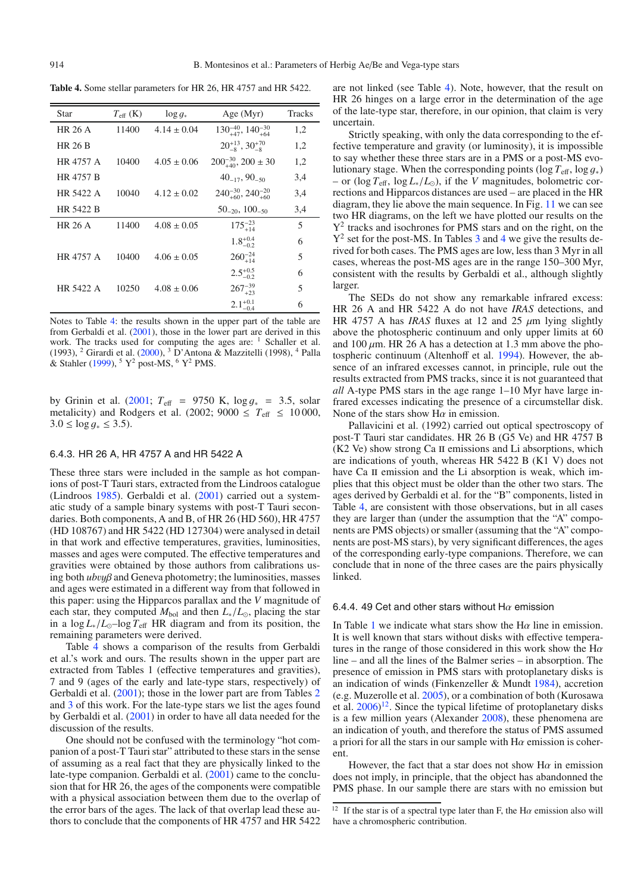<span id="page-13-0"></span>**Table 4.** Some stellar parameters for HR 26, HR 4757 and HR 5422.

| Star           | $T_{\rm eff}$ (K) | $\log g_*$      | Age $(Myr)$                           | Tracks |
|----------------|-------------------|-----------------|---------------------------------------|--------|
| HR 26 A        | 11400             | $4.14 \pm 0.04$ | $130^{-40}_{+47}$ , $140^{-30}_{+64}$ | 1,2    |
| <b>HR 26 B</b> |                   |                 | $20^{+13}_{-8}$ , $30^{+70}_{-8}$     | 1,2    |
| HR 4757 A      | 10400             | $4.05 \pm 0.06$ | $200^{-30}_{+40}$ , $200 \pm 30$      | 1,2    |
| HR 4757 B      |                   |                 | $40_{-17}$ , $90_{-50}$               | 3,4    |
| HR 5422 A      | 10040             | $4.12 \pm 0.02$ | $240^{-30}_{+60}$ , $240^{-20}_{+60}$ | 3,4    |
| HR 5422 B      |                   |                 | $50_{-20}$ , $100_{-50}$              | 3,4    |
| <b>HR 26 A</b> | 11400             | $4.08 \pm 0.05$ | $175^{-23}_{+14}$                     | 5      |
|                |                   |                 | $1.8^{+0.4}_{-0.2}$                   | 6      |
| HR 4757 A      | 10400             | $4.06 \pm 0.05$ | $260^{-24}_{+14}$                     | 5      |
|                |                   |                 | $2.5^{+0.5}_{-0.2}$                   | 6      |
| HR 5422 A      | 10250             | $4.08 \pm 0.06$ | $267_{+23}^{-39}$                     | 5      |
|                |                   |                 | $2.1_{-0.4}^{+0.1}$                   | 6      |

Notes to Table [4:](#page-13-0) the results shown in the upper part of the table are from Gerbaldi et al. [\(2001\)](#page-16-24), those in the lower part are derived in this work. The tracks used for computing the ages are: <sup>1</sup> Schaller et al. (1993), <sup>2</sup> Girardi et al. [\(2000\)](#page-16-47), <sup>3</sup> D'Antona & Mazzitelli (1998), <sup>4</sup> Palla & Stahler  $(1999)$ , <sup>5</sup> Y<sup>2</sup> post-MS, <sup>6</sup> Y<sup>2</sup> PMS.

by Grinin et al. [\(2001;](#page-16-49)  $T_{\text{eff}}$  = 9750 K,  $\log g_*$  = 3.5, solar metalicity) and Rodgers et al. (2002; 9000  $\leq T_{\text{eff}} \leq 10000$ ,  $3.0 \le \log q_* \le 3.5$ ).

#### 6.4.3. HR 26 A, HR 4757 A and HR 5422 A

These three stars were included in the sample as hot companions of post-T Tauri stars, extracted from the Lindroos catalogue (Lindroos [1985\)](#page-16-20). Gerbaldi et al. [\(2001\)](#page-16-24) carried out a systematic study of a sample binary systems with post-T Tauri secondaries. Both components, A and B, of HR 26 (HD 560), HR 4757 (HD 108767) and HR 5422 (HD 127304) were analysed in detail in that work and effective temperatures, gravities, luminosities, masses and ages were computed. The effective temperatures and gravities were obtained by those authors from calibrations using both *ub*vyβ and Geneva photometry; the luminosities, masses and ages were estimated in a different way from that followed in this paper: using the Hipparcos parallax and the *V* magnitude of each star, they computed  $M_{bol}$  and then  $L_*/L_{\odot}$ , placing the star in a  $\log L_* / L_{\odot}$ –log  $T_{\text{eff}}$  HR diagram and from its position, the remaining parameters were derived.

Table [4](#page-13-0) shows a comparison of the results from Gerbaldi et al.'s work and ours. The results shown in the upper part are extracted from Tables 1 (effective temperatures and gravities), 7 and 9 (ages of the early and late-type stars, respectively) of Gerbaldi et al. [\(2001\)](#page-16-24); those in the lower part are from Tables [2](#page-3-2) and [3](#page-8-0) of this work. For the late-type stars we list the ages found by Gerbaldi et al. [\(2001\)](#page-16-24) in order to have all data needed for the discussion of the results.

One should not be confused with the terminology "hot companion of a post-T Tauri star" attributed to these stars in the sense of assuming as a real fact that they are physically linked to the late-type companion. Gerbaldi et al.  $(2001)$  came to the conclusion that for HR 26, the ages of the components were compatible with a physical association between them due to the overlap of the error bars of the ages. The lack of that overlap lead these authors to conclude that the components of HR 4757 and HR 5422 are not linked (see Table [4\)](#page-13-0). Note, however, that the result on HR 26 hinges on a large error in the determination of the age of the late-type star, therefore, in our opinion, that claim is very uncertain.

Strictly speaking, with only the data corresponding to the effective temperature and gravity (or luminosity), it is impossible to say whether these three stars are in a PMS or a post-MS evolutionary stage. When the corresponding points (log  $T_{\text{eff}}$ , log  $q_*$ ) – or (log  $T_{\text{eff}}$ , log  $L_∗/L_0$ ), if the *V* magnitudes, bolometric corrections and Hipparcos distances are used – are placed in the HR diagram, they lie above the main sequence. In Fig. [11](#page-14-1) we can see two HR diagrams, on the left we have plotted our results on the  $Y<sup>2</sup>$  tracks and isochrones for PMS stars and on the right, on the  $Y^2$  set for the post-MS. In Tables [3](#page-8-0) and [4](#page-13-0) we give the results derived for both cases. The PMS ages are low, less than 3 Myr in all cases, whereas the post-MS ages are in the range 150–300 Myr, consistent with the results by Gerbaldi et al., although slightly larger.

The SEDs do not show any remarkable infrared excess: HR 26 A and HR 5422 A do not have *IRAS* detections, and HR 4757 A has *IRAS* fluxes at 12 and 25  $\mu$ m lying slightly above the photospheric continuum and only upper limits at 60 and 100  $\mu$ m. HR 26 A has a detection at 1.3 mm above the photospheric continuum (Altenhoff et al. [1994\)](#page-16-50). However, the absence of an infrared excesses cannot, in principle, rule out the results extracted from PMS tracks, since it is not guaranteed that *all* A-type PMS stars in the age range 1–10 Myr have large infrared excesses indicating the presence of a circumstellar disk. None of the stars show  $H\alpha$  in emission.

Pallavicini et al. (1992) carried out optical spectroscopy of post-T Tauri star candidates. HR 26 B (G5 Ve) and HR 4757 B (K2 Ve) show strong Ca ii emissions and Li absorptions, which are indications of youth, whereas HR 5422 B (K1 V) does not have Ca II emission and the Li absorption is weak, which implies that this object must be older than the other two stars. The ages derived by Gerbaldi et al. for the "B" components, listed in Table [4,](#page-13-0) are consistent with those observations, but in all cases they are larger than (under the assumption that the "A" components are PMS objects) or smaller (assuming that the "A" components are post-MS stars), by very significant differences, the ages of the corresponding early-type companions. Therefore, we can conclude that in none of the three cases are the pairs physically linked.

#### 6.4.4. 49 Cet and other stars without H $\alpha$  emission

<span id="page-13-1"></span>In Table [1](#page-1-2) we indicate what stars show the H $\alpha$  line in emission. It is well known that stars without disks with effective temperatures in the range of those considered in this work show the  $H\alpha$ line – and all the lines of the Balmer series – in absorption. The presence of emission in PMS stars with protoplanetary disks is an indication of winds (Finkenzeller & Mundt [1984\)](#page-16-46), accretion (e.g. Muzerolle et al. [2005\)](#page-16-51), or a combination of both (Kurosawa et al.  $2006$ <sup>[12](#page-13-1)</sup>. Since the typical lifetime of protoplanetary disks is a few million years (Alexander [2008\)](#page-16-53), these phenomena are an indication of youth, and therefore the status of PMS assumed a priori for all the stars in our sample with  $H\alpha$  emission is coherent.

However, the fact that a star does not show  $H\alpha$  in emission does not imply, in principle, that the object has abandonned the PMS phase. In our sample there are stars with no emission but

<sup>&</sup>lt;sup>12</sup> If the star is of a spectral type later than F, the H $\alpha$  emission also will have a chromospheric contribution.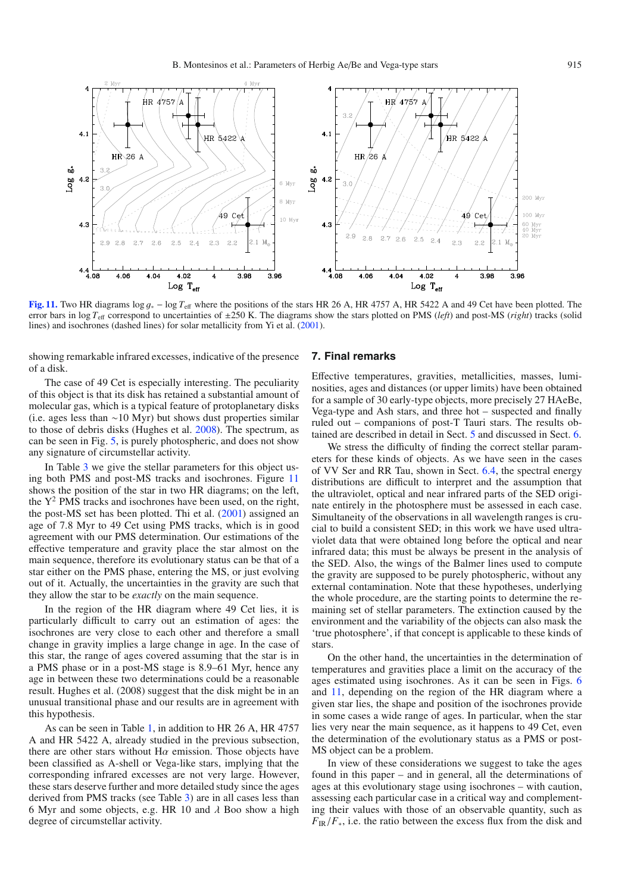<span id="page-14-1"></span>

**[Fig. 11.](http://dexter.edpsciences.org/applet.php?DOI=10.1051/0004-6361:200810623&pdf_id=11)** Two HR diagrams log <sup>g</sup><sup>∗</sup> <sup>−</sup> log *<sup>T</sup>*<sup>e</sup>ff where the positions of the stars HR 26 A, HR 4757 A, HR 5422 A and 49 Cet have been plotted. The error bars in log *T*<sup>e</sup>ff correspond to uncertainties of ±250 K. The diagrams show the stars plotted on PMS (*left*) and post-MS (*right*) tracks (solid lines) and isochrones (dashed lines) for solar metallicity from Yi et al. [\(2001\)](#page-16-32).

showing remarkable infrared excesses, indicative of the presence of a disk.

The case of 49 Cet is especially interesting. The peculiarity of this object is that its disk has retained a substantial amount of molecular gas, which is a typical feature of protoplanetary disks (i.e. ages less than ∼10 Myr) but shows dust properties similar to those of debris disks (Hughes et al. [2008\)](#page-16-54). The spectrum, as can be seen in Fig. [5,](#page-7-0) is purely photospheric, and does not show any signature of circumstellar activity.

In Table [3](#page-8-0) we give the stellar parameters for this object using both PMS and post-MS tracks and isochrones. Figure [11](#page-14-1) shows the position of the star in two HR diagrams; on the left, the  $Y^2$  PMS tracks and isochrones have been used, on the right, the post-MS set has been plotted. Thi et al. [\(2001\)](#page-16-55) assigned an age of 7.8 Myr to 49 Cet using PMS tracks, which is in good agreement with our PMS determination. Our estimations of the effective temperature and gravity place the star almost on the main sequence, therefore its evolutionary status can be that of a star either on the PMS phase, entering the MS, or just evolving out of it. Actually, the uncertainties in the gravity are such that they allow the star to be *exactly* on the main sequence.

In the region of the HR diagram where 49 Cet lies, it is particularly difficult to carry out an estimation of ages: the isochrones are very close to each other and therefore a small change in gravity implies a large change in age. In the case of this star, the range of ages covered assuming that the star is in a PMS phase or in a post-MS stage is 8.9–61 Myr, hence any age in between these two determinations could be a reasonable result. Hughes et al. (2008) suggest that the disk might be in an unusual transitional phase and our results are in agreement with this hypothesis.

As can be seen in Table [1,](#page-1-2) in addition to HR 26 A, HR 4757 A and HR 5422 A, already studied in the previous subsection, there are other stars without  $H\alpha$  emission. Those objects have been classified as A-shell or Vega-like stars, implying that the corresponding infrared excesses are not very large. However, these stars deserve further and more detailed study since the ages derived from PMS tracks (see Table [3\)](#page-8-0) are in all cases less than 6 Myr and some objects, e.g. HR 10 and  $\lambda$  Boo show a high degree of circumstellar activity.

## <span id="page-14-0"></span>**7. Final remarks**

Effective temperatures, gravities, metallicities, masses, luminosities, ages and distances (or upper limits) have been obtained for a sample of 30 early-type objects, more precisely 27 HAeBe, Vega-type and Ash stars, and three hot – suspected and finally ruled out – companions of post-T Tauri stars. The results obtained are described in detail in Sect. [5](#page-5-0) and discussed in Sect. [6.](#page-6-0)

We stress the difficulty of finding the correct stellar parameters for these kinds of objects. As we have seen in the cases of VV Ser and RR Tau, shown in Sect. [6.4,](#page-10-0) the spectral energy distributions are difficult to interpret and the assumption that the ultraviolet, optical and near infrared parts of the SED originate entirely in the photosphere must be assessed in each case. Simultaneity of the observations in all wavelength ranges is crucial to build a consistent SED; in this work we have used ultraviolet data that were obtained long before the optical and near infrared data; this must be always be present in the analysis of the SED. Also, the wings of the Balmer lines used to compute the gravity are supposed to be purely photospheric, without any external contamination. Note that these hypotheses, underlying the whole procedure, are the starting points to determine the remaining set of stellar parameters. The extinction caused by the environment and the variability of the objects can also mask the 'true photosphere', if that concept is applicable to these kinds of stars.

On the other hand, the uncertainties in the determination of temperatures and gravities place a limit on the accuracy of the ages estimated using isochrones. As it can be seen in Figs. [6](#page-9-0) and [11,](#page-14-1) depending on the region of the HR diagram where a given star lies, the shape and position of the isochrones provide in some cases a wide range of ages. In particular, when the star lies very near the main sequence, as it happens to 49 Cet, even the determination of the evolutionary status as a PMS or post-MS object can be a problem.

In view of these considerations we suggest to take the ages found in this paper – and in general, all the determinations of ages at this evolutionary stage using isochrones – with caution, assessing each particular case in a critical way and complementing their values with those of an observable quantity, such as  $F_{IR}/F_{*}$ , i.e. the ratio between the excess flux from the disk and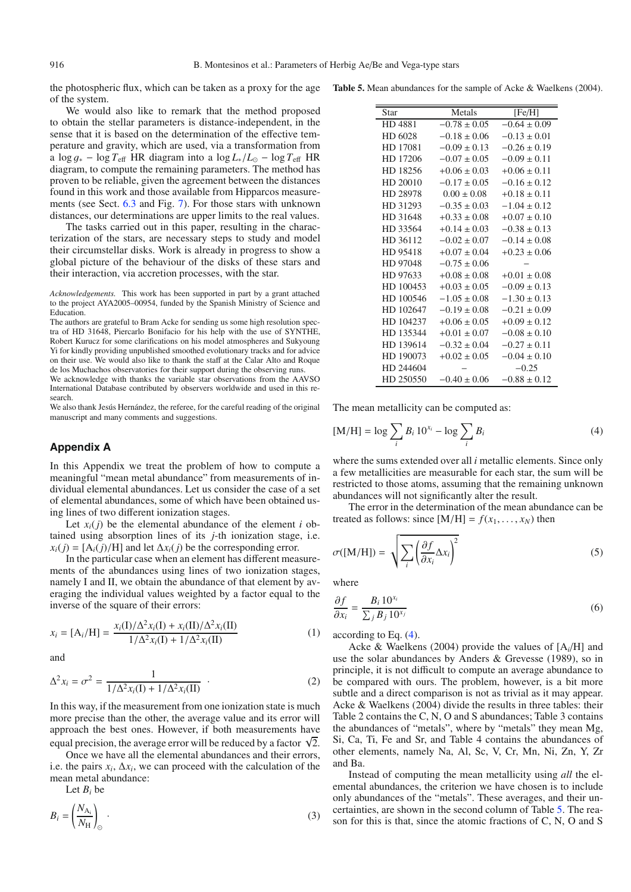the photospheric flux, which can be taken as a proxy for the age of the system.

We would also like to remark that the method proposed to obtain the stellar parameters is distance-independent, in the sense that it is based on the determination of the effective temperature and gravity, which are used, via a transformation from a  $\log q_* - \log T_{\text{eff}}$  HR diagram into a  $\log L_*/L_{\odot} - \log T_{\text{eff}}$  HR diagram, to compute the remaining parameters. The method has proven to be reliable, given the agreement between the distances found in this work and those available from Hipparcos measurements (see Sect. [6.3](#page-9-1) and Fig. [7\)](#page-9-2). For those stars with unknown distances, our determinations are upper limits to the real values.

The tasks carried out in this paper, resulting in the characterization of the stars, are necessary steps to study and model their circumstellar disks. Work is already in progress to show a global picture of the behaviour of the disks of these stars and their interaction, via accretion processes, with the star.

*Acknowledgements.* This work has been supported in part by a grant attached to the project AYA2005–00954, funded by the Spanish Ministry of Science and Education.

We acknowledge with thanks the variable star observations from the AAVSO International Database contributed by observers worldwide and used in this research.

We also thank Jesús Hernández, the referee, for the careful reading of the original manuscript and many comments and suggestions.

# **Appendix A**

In this Appendix we treat the problem of how to compute a meaningful "mean metal abundance" from measurements of individual elemental abundances. Let us consider the case of a set of elemental abundances, some of which have been obtained using lines of two different ionization stages.

Let  $x_i(j)$  be the elemental abundance of the element *i* obtained using absorption lines of its *j*-th ionization stage, i.e.  $x_i(j) = [A_i(j)/H]$  and let  $\Delta x_i(j)$  be the corresponding error.

In the particular case when an element has different measurements of the abundances using lines of two ionization stages, namely I and II, we obtain the abundance of that element by averaging the individual values weighted by a factor equal to the inverse of the square of their errors:

$$
x_i = [A_i/H] = \frac{x_i(I)/\Delta^2 x_i(I) + x_i(II)/\Delta^2 x_i(II)}{1/\Delta^2 x_i(I) + 1/\Delta^2 x_i(II)}
$$
(1)

and

$$
\Delta^2 x_i = \sigma^2 = \frac{1}{1/\Delta^2 x_i(I) + 1/\Delta^2 x_i(II)} \quad . \tag{2}
$$

In this way, if the measurement from one ionization state is much more precise than the other, the average value and its error will approach the best ones. However, if both measurements have equal precision, the average error will be reduced by a factor  $\sqrt{2}$ .

Once we have all the elemental abundances and their errors, i.e. the pairs  $x_i$ ,  $\Delta x_i$ , we can proceed with the calculation of the mean metal abundance:

Let *Bi* be

$$
B_i = \left(\frac{N_{\text{A}_i}}{N_{\text{H}}} \right)_{\odot} \tag{3}
$$

<span id="page-15-1"></span>

|  |  |  | <b>Table 5.</b> Mean abundances for the sample of Acke & Waelkens (2004). |  |  |  |  |  |  |  |  |
|--|--|--|---------------------------------------------------------------------------|--|--|--|--|--|--|--|--|
|--|--|--|---------------------------------------------------------------------------|--|--|--|--|--|--|--|--|

| Star          | Metals           | [Fe/H]           |
|---------------|------------------|------------------|
| <b>HD4881</b> | $-0.78 \pm 0.05$ | $-0.64 + 0.09$   |
| HD 6028       | $-0.18 \pm 0.06$ | $-0.13 \pm 0.01$ |
| HD 17081      | $-0.09 \pm 0.13$ | $-0.26 \pm 0.19$ |
| HD 17206      | $-0.07 \pm 0.05$ | $-0.09 \pm 0.11$ |
| HD 18256      | $+0.06 \pm 0.03$ | $+0.06 \pm 0.11$ |
| HD 20010      | $-0.17 \pm 0.05$ | $-0.16 \pm 0.12$ |
| HD 28978      | $0.00 \pm 0.08$  | $+0.18 \pm 0.11$ |
| HD 31293      | $-0.35 \pm 0.03$ | $-1.04 + 0.12$   |
| HD 31648      | $+0.33 \pm 0.08$ | $+0.07 \pm 0.10$ |
| HD 33564      | $+0.14 + 0.03$   | $-0.38 \pm 0.13$ |
| HD 36112      | $-0.02 \pm 0.07$ | $-0.14 \pm 0.08$ |
| HD 95418      | $+0.07 \pm 0.04$ | $+0.23 \pm 0.06$ |
| HD 97048      | $-0.75 \pm 0.06$ |                  |
| HD 97633      | $+0.08 \pm 0.08$ | $+0.01 + 0.08$   |
| HD 100453     | $+0.03 \pm 0.05$ | $-0.09 \pm 0.13$ |
| HD 100546     | $-1.05 \pm 0.08$ | $-1.30 \pm 0.13$ |
| HD 102647     | $-0.19 \pm 0.08$ | $-0.21 \pm 0.09$ |
| HD 104237     | $+0.06 \pm 0.05$ | $+0.09 \pm 0.12$ |
| HD 135344     | $+0.01 \pm 0.07$ | $-0.08 \pm 0.10$ |
| HD 139614     | $-0.32 \pm 0.04$ | $-0.27 + 0.11$   |
| HD 190073     | $+0.02 \pm 0.05$ | $-0.04 \pm 0.10$ |
| HD 244604     |                  | $-0.25$          |
| HD 250550     | $-0.40 \pm 0.06$ | $-0.88 \pm 0.12$ |
|               |                  |                  |

<span id="page-15-0"></span>The mean metallicity can be computed as:

$$
[M/H] = \log \sum_{i} B_i 10^{x_i} - \log \sum_{i} B_i
$$
 (4)

where the sums extended over all *i* metallic elements. Since only a few metallicities are measurable for each star, the sum will be restricted to those atoms, assuming that the remaining unknown abundances will not significantly alter the result.

The error in the determination of the mean abundance can be treated as follows: since  $[M/H] = f(x_1, \ldots, x_N)$  then

$$
\sigma([M/H]) = \sqrt{\sum_{i} \left(\frac{\partial f}{\partial x_i} \Delta x_i\right)^2}
$$
 (5)

where

$$
\frac{\partial f}{\partial x_i} = \frac{B_i 10^{x_i}}{\sum_j B_j 10^{x_j}}
$$
\n(6)

according to Eq. [\(4\)](#page-15-0).

Acke & Waelkens (2004) provide the values of [A*i*/H] and use the solar abundances by Anders & Grevesse (1989), so in principle, it is not difficult to compute an average abundance to be compared with ours. The problem, however, is a bit more subtle and a direct comparison is not as trivial as it may appear. Acke & Waelkens (2004) divide the results in three tables: their Table 2 contains the C, N, O and S abundances; Table 3 contains the abundances of "metals", where by "metals" they mean Mg, Si, Ca, Ti, Fe and Sr, and Table 4 contains the abundances of other elements, namely Na, Al, Sc, V, Cr, Mn, Ni, Zn, Y, Zr and Ba.

Instead of computing the mean metallicity using *all* the elemental abundances, the criterion we have chosen is to include only abundances of the "metals". These averages, and their uncertainties, are shown in the second column of Table [5.](#page-15-1) The reason for this is that, since the atomic fractions of C, N, O and S

The authors are grateful to Bram Acke for sending us some high resolution spectra of HD 31648, Piercarlo Bonifacio for his help with the use of SYNTHE, Robert Kurucz for some clarifications on his model atmospheres and Sukyoung Yi for kindly providing unpublished smoothed evolutionary tracks and for advice on their use. We would also like to thank the staff at the Calar Alto and Roque de los Muchachos observatories for their support during the observing runs.